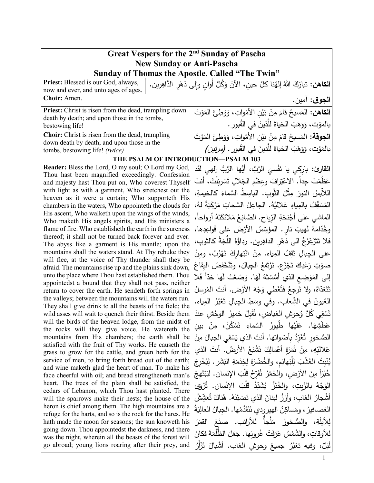|                                                                                                                       | Great Vespers for the 2 <sup>nd</sup> Sunday of Pascha                                         |
|-----------------------------------------------------------------------------------------------------------------------|------------------------------------------------------------------------------------------------|
| <b>New Sunday or Anti-Pascha</b>                                                                                      |                                                                                                |
| <b>Sunday of Thomas the Apostle, Called "The Twin"</b>                                                                |                                                                                                |
| Priest: Blessed is our God, always,<br>now and ever, and unto ages of ages.                                           | ا <b>لكاهن:</b> تبارَكَ اللهُ إلهُنا كلَّ حين، الآنَ وَكُلَّ أَوانٍ وإلى دَهْرِ الدَّاهِرِينِ. |
| Choir: Amen.                                                                                                          | ا <b>لجوق</b> : آمين.                                                                          |
| Priest: Christ is risen from the dead, trampling down                                                                 | ا <b>لكاهن:</b> المَسيحُ قامَ مِنْ بَيْنِ الأَمْواتِ، وَوَطِئَ المَوْتَ                        |
| death by death; and upon those in the tombs,                                                                          |                                                                                                |
| bestowing life!                                                                                                       | بالمَوْت، وَوَهَبَ الْحَياةَ للَّذينَ في القُبورِ .                                            |
| Choir: Christ is risen from the dead, trampling                                                                       | ا <b>لجوقة:</b> المَسيحُ قامَ مِنْ بَيْنِ الأَمْواتِ، وَوَطِئَ المَوْتَ                        |
| down death by death; and upon those in the<br>tombs, bestowing life! (twice)                                          | بالمَوْت، وَوَهَبَ الحَياةَ للَّذينَ في القُبور . <i>(مرتين)</i>                               |
| THE PSALM OF INTRODUCTION-PSALM 103                                                                                   |                                                                                                |
| Reader: Bless the Lord, O my soul; O Lord my God,                                                                     | ا <b>لقارئ:</b> بارِكي يا نَفْسيَ الرَّبَّ، أَيُّها الرَّبُّ إلهي لَقَد                        |
| Thou hast been magnified exceedingly. Confession                                                                      |                                                                                                |
| and majesty hast Thou put on, Who coverest Thyself                                                                    | عَظُمْتَ جِداً. الاعْتِرافَ وعِظَمَ الْجَلالِ تَسَرِيَلْتَ، أَنتَ                              |
| with light as with a garment, Who stretchest out the<br>heaven as it were a curtain; Who supporteth His               | اللأبسُ النورَ مِثْلَ الثَّوبِ. الباسِطُ السَّماءَ كالخيمةِ،                                   |
| chambers in the waters, Who appointeth the clouds for                                                                 | المُسَقِّفُ بِالمِياهِ عَلاليَّهُ. الجاعِلُ السَّحابَ مَرْكَبَةً لهُ،                          |
| His ascent, Who walketh upon the wings of the winds,<br>Who maketh His angels spirits, and His ministers a            | الماشي على أَجْنحَةِ الرّياحِ. الصَّانِعُ مَلائكَتَهُ أَرواحاً،                                |
| flame of fire. Who establisheth the earth in the sureness                                                             | وخُدّامَهُ لَهيبَ نارٍ . المؤَسِّسُ الأَرْضَ على قَواعِدِها،                                   |
| thereof; it shall not be turned back forever and ever.                                                                | فلا تَتَزَعْزَعُ الى دَهْرِ الداهِرِينِ. رِداؤُهُ اللَّجَةُ كالثوبِ،                           |
| The abyss like a garment is His mantle; upon the                                                                      |                                                                                                |
| mountains shall the waters stand. At Thy rebuke they<br>will flee, at the voice of Thy thunder shall they be          | على الجِبالِ تَقِفُ المِياه. مِنْ انْتِهارِكَ تَهْرُبُ، ومِنْ                                  |
| afraid. The mountains rise up and the plains sink down,                                                               | صَوْتِ رَعْدِكَ تَجْزَعٍ. تَرْتَفِعُ الْجِبالَ، وتَنْخَفِضُ البقاعَ                            |
| unto the place where Thou hast established them. Thou                                                                 | إلى المَوْضِعِ الذي أَسَّسْتَهُ لَهَا. وَضَعْتَ لَها حَدّاً فَلا                               |
| appointedst a bound that they shall not pass, neither<br>return to cover the earth. He sendeth forth springs in       | تَتَعَدّاهُ، ولا تَرجِعُ فتُغَطى وَجْهَ الأَرْضِ. أنتَ المُرسِلُ                               |
| the valleys; between the mountains will the waters run.                                                               | العُيونَ في الشِّعابِ. وفي وسَطِ الْجِبالِ تَعْبُرُ الْمِياهِ.                                 |
| They shall give drink to all the beasts of the field; the<br>wild asses will wait to quench their thirst. Beside them | تَسْقِى كُلَّ وُحوش الغِياض، ثُقْبِلُ حَميرُ  الوَحْشِ عندَ                                    |
| will the birds of the heaven lodge, from the midst of                                                                 | عَطَشِهَا. عَلَيْها طُيورُ السَّماءِ تَسْكُنُ، مِنْ بينِ                                       |
| the rocks will they give voice. He watereth the<br>mountains from His chambers; the earth shall be                    | الصُّخورِ تُغَرَّدُ بِأَصْواتِها. أنتَ الذي يَسْقِي الْجِبالَ مِنْ                             |
| satisfied with the fruit of Thy works. He causeth the                                                                 | عَلاليّهِ، مِنْ ثَمَرَةِ أَعْمالِكَ تَشْبَعُ الأَرضُ. أَنتَ الذي                               |
| grass to grow for the cattle, and green herb for the<br>service of men, to bring forth bread out of the earth;        | يُنْبِتُ العُشْبَ لِلْبَهائِم، والخُضْرَةَ لِخِدْمَةِ البَشَرِ . لِيُخْرِجَ                    |
| and wine maketh glad the heart of man. To make his                                                                    | خُبْزاً مِنَ الأَرْضِ، والخَمْرُ ثُفَرِّحُ قَلْبَ الإنسانِ. ليَبْتَهجَ                         |
| face cheerful with oil; and bread strengtheneth man's<br>heart. The trees of the plain shall be satisfied, the        | الوَجْهُ بالزَبِتِ، والخُبْزُ يُشَدِّدُ قَلْبَ الإِنْسانِ. تُرْوَى                             |
| cedars of Lebanon, which Thou hast planted. There                                                                     | أشْجارُ الغابِ، وأَرْزُ لبنانَ الذي نَصَبْتَهُ. هُناكَ تُعَشِّشُ                               |
| will the sparrows make their nests; the house of the<br>heron is chief among them. The high mountains are a           |                                                                                                |
| refuge for the harts, and so is the rock for the hares. He                                                            | العَصـافيرُ ، ومَساكِنُ الـهيرودي تَتَقَدَّمُها. الـجبالُ الـعالِيَةُ                          |
| hath made the moon for seasons; the sun knoweth his<br>going down. Thou appointedst the darkness, and there           | مَلْجاً للأرانب.<br>للأيلَةِ،<br>والصُخورُ<br>صنَعَ القِمَرَ                                   |
| was the night, wherein all the beasts of the forest will                                                              | للأوقاتِ، والشَّمْسُ عَرَفَتْ غُروبَها. جَعَلَ الظُّلَمَةَ فكانَ                               |
| go abroad; young lions roaring after their prey, and                                                                  | لَيْلٌ، وفيهِ تعْبُرُ جميعُ وحوشِ الغاب. أشْبالٌ تَزْأَرُ                                      |

1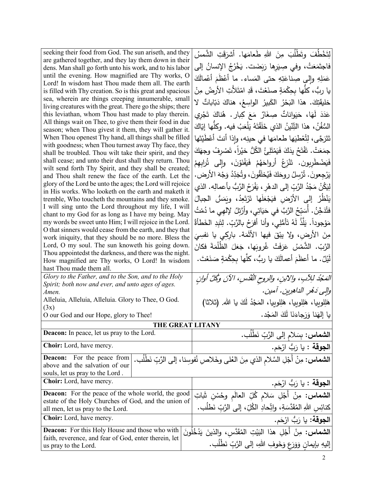| seeking their food from God. The sun ariseth, and they<br>are gathered together, and they lay them down in their<br>dens. Man shall go forth unto his work, and to his labor<br>until the evening. How magnified are Thy works, O<br>Lord! In wisdom hast Thou made them all. The earth<br>is filled with Thy creation. So is this great and spacious<br>sea, wherein are things creeping innumerable, small<br>living creatures with the great. There go the ships; there<br>this leviathan, whom Thou hast made to play therein.<br>All things wait on Thee, to give them their food in due<br>season; when Thou givest it them, they will gather it.<br>When Thou openest Thy hand, all things shall be filled<br>with goodness; when Thou turnest away Thy face, they<br>shall be troubled. Thou wilt take their spirit, and they<br>shall cease; and unto their dust shall they return. Thou<br>wilt send forth Thy Spirit, and they shall be created;<br>and Thou shalt renew the face of the earth. Let the<br>glory of the Lord be unto the ages; the Lord will rejoice<br>in His works. Who looketh on the earth and maketh it<br>tremble, Who toucheth the mountains and they smoke.<br>I will sing unto the Lord throughout my life, I will<br>chant to my God for as long as I have my being. May<br>my words be sweet unto Him; I will rejoice in the Lord.<br>O that sinners would cease from the earth, and they that<br>work iniquity, that they should be no more. Bless the<br>Lord, O my soul. The sun knoweth his going down.<br>Thou appointedst the darkness, and there was the night.<br>How magnified are Thy works, O Lord! In wisdom<br>hast Thou made them all.<br>Glory to the Father, and to the Son, and to the Holy<br>Spirit; both now and ever, and unto ages of ages. | لِتَخْطُفَ وتَطْلَبَ مِنَ اللهِ طَعامَها. أَشْرَقَتِ الشَّمسُ<br>فاجتَمَعَتْ، وفي صِيَرها رَبَضَت. يَخْرُجُ الإِنسانُ إلى<br>عَمَلِهِ وإلى صِناعَتِهِ حتى المَساءِ. ما أَعْظَمَ أَعْمالَكَ<br>يا ربُّ، كلُّها بِحِكْمَةٍ صنَعْتَ، قَدِ امْتَلأتِ الأرضُ مِنْ<br>خليقَتِكَ. هذا البَحْرُ الكَبيرُ الواسِعُ، هناكَ دَبّاباتٌ لا<br>عَدَدَ لَهَا، حَيَواناتٌ صِغَارٌ مَعَ كِبارٍ. هُناكَ تَجْرِي<br>السُّفُنُ، هذا التِّنّينُ الذي خَلَقْتَهُ يَلْعَبُ فيه. وكلّها إيّاكَ<br>تَتَرَجَّى، لِتُعْطِيَها طعامَها في حينِه، وإذا أنتَ أَعْطَيْتَها<br>جمَعَتْ. تَفْتَحُ يدَكَ فَيَمْتَلِئُ الكُلُّ خيْراً، تَصْرِفُ وجهَكَ<br>فَيَضْطُرِبون. تَنْزِعُ أَرواحَهُمْ فَيَفْنَوْنَ، وإلى تُرابِهِمْ<br>يَرْجِعونَ. تُرْسِلُ روحَكَ فَيُخلَقُونَ، وتُجَدِّدُ وَجْهَ الأرض.<br>لِيَكُنْ مَجْدُ الرَّبِّ إلى الدهْرِ ، يَفْرَحُ الرَّبُّ بأعمالِه. الذي<br>يَنْظُرُ إِلَى الأَرْضِ فَيَجْعَلَها تَرْتَعِدُ، ويَمَسُّ الْجِبالَ<br>فتُذَخِّنُ. أَسَبِّحُ الرَّبَّ في حَيَاتِي، وأَرَّتِلُ لإلهِي ما دُمْتُ<br>مَوْجوداً. يَلَّذُ لَهُ تَأْمُّلِى، وأنا أفرَحُ بالرَّبِّ. لِتَبِدِ الخَطأَةُ<br>مِنَ الأرضِ، ولا يبْقَ فيها الأثَمَة. بارِكِي يا نفسِيَ<br>الرَّبّ. الشَّمْسُ عَرَفَتْ غُروبَها، جَعَلَ الظُلْمَةَ فكانَ<br>لَيْلٌ. ما أعظَمَ أعمالَكَ يا ربُّ، كلَّها بحِكْمَةٍ صَنَعْتَ.<br>المَجْدُ للِآبِ، والآبنِ، والروحِ الْقُدْسِ، الآنَ وكُلَّ أُولنِ |
|---------------------------------------------------------------------------------------------------------------------------------------------------------------------------------------------------------------------------------------------------------------------------------------------------------------------------------------------------------------------------------------------------------------------------------------------------------------------------------------------------------------------------------------------------------------------------------------------------------------------------------------------------------------------------------------------------------------------------------------------------------------------------------------------------------------------------------------------------------------------------------------------------------------------------------------------------------------------------------------------------------------------------------------------------------------------------------------------------------------------------------------------------------------------------------------------------------------------------------------------------------------------------------------------------------------------------------------------------------------------------------------------------------------------------------------------------------------------------------------------------------------------------------------------------------------------------------------------------------------------------------------------------------------------------------------------------------------------------------------------------------------------------------------------------------|------------------------------------------------------------------------------------------------------------------------------------------------------------------------------------------------------------------------------------------------------------------------------------------------------------------------------------------------------------------------------------------------------------------------------------------------------------------------------------------------------------------------------------------------------------------------------------------------------------------------------------------------------------------------------------------------------------------------------------------------------------------------------------------------------------------------------------------------------------------------------------------------------------------------------------------------------------------------------------------------------------------------------------------------------------------------------------------------------------------------------------------------------------------------------------------------------------------------------------------------------------------------------------------------------------------------------------------------|
| Amen.<br>Alleluia, Alleluia, Alleluia. Glory to Thee, O God.<br>(3x)                                                                                                                                                                                                                                                                                                                                                                                                                                                                                                                                                                                                                                                                                                                                                                                                                                                                                                                                                                                                                                                                                                                                                                                                                                                                                                                                                                                                                                                                                                                                                                                                                                                                                                                                    | والِي دَهْرِ الداهرِينِ . آمينِ .<br>هَلِلوبِيا، هَلِلوبِيا، هَلِلوبِيا، المَجْدُ لَكَ يا الله. (ثلاثا)                                                                                                                                                                                                                                                                                                                                                                                                                                                                                                                                                                                                                                                                                                                                                                                                                                                                                                                                                                                                                                                                                                                                                                                                                                        |
| O our God and our Hope, glory to Thee!                                                                                                                                                                                                                                                                                                                                                                                                                                                                                                                                                                                                                                                                                                                                                                                                                                                                                                                                                                                                                                                                                                                                                                                                                                                                                                                                                                                                                                                                                                                                                                                                                                                                                                                                                                  | يا إلهَنا وَرَجاءَنَا لَكَ الْمَجْد.                                                                                                                                                                                                                                                                                                                                                                                                                                                                                                                                                                                                                                                                                                                                                                                                                                                                                                                                                                                                                                                                                                                                                                                                                                                                                                           |
| <b>Deacon:</b> In peace, let us pray to the Lord.                                                                                                                                                                                                                                                                                                                                                                                                                                                                                                                                                                                                                                                                                                                                                                                                                                                                                                                                                                                                                                                                                                                                                                                                                                                                                                                                                                                                                                                                                                                                                                                                                                                                                                                                                       | <b>THE GREAT LITANY</b>                                                                                                                                                                                                                                                                                                                                                                                                                                                                                                                                                                                                                                                                                                                                                                                                                                                                                                                                                                                                                                                                                                                                                                                                                                                                                                                        |
|                                                                                                                                                                                                                                                                                                                                                                                                                                                                                                                                                                                                                                                                                                                                                                                                                                                                                                                                                                                                                                                                                                                                                                                                                                                                                                                                                                                                                                                                                                                                                                                                                                                                                                                                                                                                         | ا <b>لشماس:</b> بِسَلام إلى الرَّبِّ نَطْلُب.                                                                                                                                                                                                                                                                                                                                                                                                                                                                                                                                                                                                                                                                                                                                                                                                                                                                                                                                                                                                                                                                                                                                                                                                                                                                                                  |
| Choir: Lord, have mercy.                                                                                                                                                                                                                                                                                                                                                                                                                                                                                                                                                                                                                                                                                                                                                                                                                                                                                                                                                                                                                                                                                                                                                                                                                                                                                                                                                                                                                                                                                                                                                                                                                                                                                                                                                                                | ا <b>لجوقة</b> : يا رَبُّ ارْحَم.                                                                                                                                                                                                                                                                                                                                                                                                                                                                                                                                                                                                                                                                                                                                                                                                                                                                                                                                                                                                                                                                                                                                                                                                                                                                                                              |
| For the peace from<br><b>Deacon:</b><br>above and the salvation of our<br>souls, let us pray to the Lord.                                                                                                                                                                                                                                                                                                                                                                                                                                                                                                                                                                                                                                                                                                                                                                                                                                                                                                                                                                                                                                                                                                                                                                                                                                                                                                                                                                                                                                                                                                                                                                                                                                                                                               | <b>الشماس:</b> مِنْ أَجْلِ السَّلام الذي مِنَ العُلى وخَلاصٍ نُفوسِنا، إلى الرَّبِّ نَطْلُب.                                                                                                                                                                                                                                                                                                                                                                                                                                                                                                                                                                                                                                                                                                                                                                                                                                                                                                                                                                                                                                                                                                                                                                                                                                                   |
| <b>Choir:</b> Lord, have mercy.                                                                                                                                                                                                                                                                                                                                                                                                                                                                                                                                                                                                                                                                                                                                                                                                                                                                                                                                                                                                                                                                                                                                                                                                                                                                                                                                                                                                                                                                                                                                                                                                                                                                                                                                                                         | ا <b>لجوقة</b> : يا رَبُّ ارْحَم.                                                                                                                                                                                                                                                                                                                                                                                                                                                                                                                                                                                                                                                                                                                                                                                                                                                                                                                                                                                                                                                                                                                                                                                                                                                                                                              |
| <b>Deacon:</b> For the peace of the whole world, the good<br>estate of the Holy Churches of God, and the union of<br>all men, let us pray to the Lord.                                                                                                                                                                                                                                                                                                                                                                                                                                                                                                                                                                                                                                                                                                                                                                                                                                                                                                                                                                                                                                                                                                                                                                                                                                                                                                                                                                                                                                                                                                                                                                                                                                                  | ا <b>لشماس:</b> مِنْ أَجْلِ سَلام كُلِّ العالَم وحُسْنِ شَاتِ<br>كنائِس اللهِ المُقَدَّسَةِ، واتِّحادِ الكُلِّ، إلى الرَّبِّ نَطلُبٍ.                                                                                                                                                                                                                                                                                                                                                                                                                                                                                                                                                                                                                                                                                                                                                                                                                                                                                                                                                                                                                                                                                                                                                                                                          |
| <b>Choir:</b> Lord, have mercy.                                                                                                                                                                                                                                                                                                                                                                                                                                                                                                                                                                                                                                                                                                                                                                                                                                                                                                                                                                                                                                                                                                                                                                                                                                                                                                                                                                                                                                                                                                                                                                                                                                                                                                                                                                         | ا <b>لجوقة:</b> يا رَبُّ ارْحَم.                                                                                                                                                                                                                                                                                                                                                                                                                                                                                                                                                                                                                                                                                                                                                                                                                                                                                                                                                                                                                                                                                                                                                                                                                                                                                                               |
| <b>Deacon:</b> For this Holy House and those who with<br>faith, reverence, and fear of God, enter therein, let<br>us pray to the Lord.                                                                                                                                                                                                                                                                                                                                                                                                                                                                                                                                                                                                                                                                                                                                                                                                                                                                                                                                                                                                                                                                                                                                                                                                                                                                                                                                                                                                                                                                                                                                                                                                                                                                  | <b>الشماس:</b> مِنْ أَجْلِ هذا البَيْتِ المُقَدَّس، والذينَ يَدْخُلُونَ<br>إليهِ بإيمانِ وَوَرَعٍ وَخَوفِ اللهِ، إلى الرَّبِّ نَطْلُبٍ.                                                                                                                                                                                                                                                                                                                                                                                                                                                                                                                                                                                                                                                                                                                                                                                                                                                                                                                                                                                                                                                                                                                                                                                                        |
|                                                                                                                                                                                                                                                                                                                                                                                                                                                                                                                                                                                                                                                                                                                                                                                                                                                                                                                                                                                                                                                                                                                                                                                                                                                                                                                                                                                                                                                                                                                                                                                                                                                                                                                                                                                                         |                                                                                                                                                                                                                                                                                                                                                                                                                                                                                                                                                                                                                                                                                                                                                                                                                                                                                                                                                                                                                                                                                                                                                                                                                                                                                                                                                |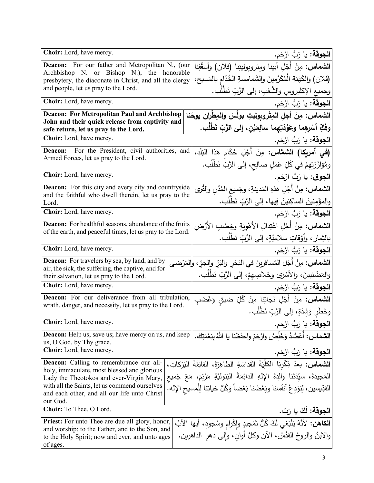| Choir: Lord, have mercy.                                                                                              | ا <b>لجوقة:</b> يا رَبُّ ارْحَم.                                                     |
|-----------------------------------------------------------------------------------------------------------------------|--------------------------------------------------------------------------------------|
| <b>Deacon:</b> For our father and Metropolitan N., (our<br>Archbishop N. or Bishop N.), the honorable                 | <b>الشماس:</b> مِنْ أَجْلِ أَبينا ومتروبوليتِنا (فلان) وأسقُفِنا                     |
| presbytery, the diaconate in Christ, and all the clergy                                                               | (فلان) والكَهَنَةِ الْمُكَرَّمينَ والشَمامسةِ الخُدّامِ بالمَسيحِ،                   |
| and people, let us pray to the Lord.                                                                                  | وجميع الإكليروس والشُّعْبِ، إلى الرَّبِّ نَطْلُبٍ.                                   |
| Choir: Lord, have mercy.                                                                                              | ا <b>لجوقة:</b> يا رَبُّ ارْحَم.                                                     |
| <b>Deacon: For Metropolitan Paul and Archbishop</b>                                                                   | الشماس: مِنْ أجلِ المِتْروبوليتِ بولُسَ والمِطْرانِ يوحَنا                           |
| John and their quick release from captivity and<br>safe return, let us pray to the Lord.                              | وفَكِّ أَسْرِهِما وعَوْدَتِهِما سالِمَيْنِ، إلى الرَّبِّ نَطْلُبٍ.                   |
| Choir: Lord, have mercy.                                                                                              | ا <b>لجوقة:</b> يا رَبُّ ارْحَم.                                                     |
| For the President, civil authorities, and<br>Deacon:                                                                  | (في أمريكا) الشعَّاس: مِنْ أَجْلِ حُكّام هَذا النَلَدِ،                              |
| Armed Forces, let us pray to the Lord.                                                                                |                                                                                      |
|                                                                                                                       | ومُؤازَرَتِهِمْ في كُلِّ عَمَلِ صالِحٍ، إلى الرَّبِّ نَطْلُبٍ.                       |
| Choir: Lord, have mercy.                                                                                              | ا <b>لجوق</b> : يا رَبُّ ارْحَم.                                                     |
| <b>Deacon:</b> For this city and every city and countryside<br>and the faithful who dwell therein, let us pray to the | ا <b>لشماس:</b> مِنْ أَجْلِ هذهِ المَدينةِ، وجَميع المُدُن والقُرى                   |
| Lord.                                                                                                                 | والمؤْمنينَ الساكِنينَ فِيها، إلى الرَّبِّ نَطْلُبٍ.                                 |
| Choir: Lord, have mercy.                                                                                              | ا <b>لجوقة:</b> يا رَبُّ ارْحَم.                                                     |
| Deacon: For healthful seasons, abundance of the fruits                                                                | <b>الشماس:</b> مِنْ أَجْلِ اعْتِدالِ الأَهْوِيَةِ وخِصْبِ الأَرْضِ                   |
| of the earth, and peaceful times, let us pray to the Lord.                                                            | بالثِمارِ ، وأَوْقاتِ سلاميَّةٍ، إلى الرَّبِّ نَطْلُبٍ.                              |
| Choir: Lord, have mercy.                                                                                              | ا <b>لجوقة:</b> يا رَبُّ ارْحَم.                                                     |
| <b>Deacon:</b> For travelers by sea, by land, and by                                                                  | ا <b>لشماس:</b> مِنْ أَجْلِ المُسافرينَ في البَحْرِ والبَرِّ والجوِّ ، والمَرْضى     |
| air, the sick, the suffering, the captive, and for<br>their salvation, let us pray to the Lord.                       | والمَضْنِيينَ، والأَسْرَى وخَلاصِهِمْ، إلى الرَّبِّ نَطْلُب.                         |
| Choir: Lord, have mercy.                                                                                              | ا <b>لجوقة:</b> يا رَبُّ ارْحَم.                                                     |
| Deacon: For our deliverance from all tribulation,                                                                     |                                                                                      |
| wrath, danger, and necessity, let us pray to the Lord.                                                                | ا <b>لشماس:</b> مِنْ أَجْلِ نَجاتِنا مِنْ كُلِّ ضيق وَغَضَبِ                         |
|                                                                                                                       | وخَطَرٍ وَشَدَةٍ، إِلَى الرَّبِّ نَطْلُبٍ.                                           |
| Choir: Lord, have mercy.                                                                                              | ا <b>لجوقة:</b> يا رَبُّ ارْحَم.                                                     |
| <b>Deacon:</b> Help us; save us; have mercy on us, and keep<br>us, O God, by Thy grace.                               | س: أَعْضُدْ وَخَلِّصْ وارْحَمْ واحفَظْنا يا اللهُ بنِعْمَتِكَ.                       |
| Choir: Lord, have mercy.                                                                                              | ا <b>لجوقة:</b> يا رَبُّ ارْحَم.                                                     |
| <b>Deacon:</b> Calling to remembrance our all-                                                                        | الشماس: بعدَ ذِكْرِنا الكلِّيَةَ القَداسَةِ الطاهِرَةَ، الفائِقَةَ البَرَكاتِ،       |
| holy, immaculate, most blessed and glorious                                                                           |                                                                                      |
| Lady the Theotokos and ever-Virgin Mary,<br>with all the Saints, let us commend ourselves                             | المَجيدةَ، سيِّدَتَنا والِدةَ الإِلهِ الدائِمَةَ البَتوليَّةِ مَرْيَمَ، مَعَ جَميعِ  |
| and each other, and all our life unto Christ                                                                          | القدِّيسين، لِنوْدِعْ أَنفُسَنا وبَعْضُنا بَعْضاً وَكُلَّ حَياتِنا لِلْمَسيحِ الإله. |
| our God.<br>Choir: To Thee, O Lord.                                                                                   | ا <b>لجوقة:</b> لكَ يا رَبّ.                                                         |
| <b>Priest:</b> For unto Thee are due all glory, honor,                                                                |                                                                                      |
| and worship: to the Father, and to the Son, and                                                                       | الكاهن: لأنَّهُ يَنْبَغي لَكَ كُلُّ تَمْجِيدٍ وإِكْرامِ وسُجودٍ، أيها الآبُ          |
| to the Holy Spirit; now and ever, and unto ages<br>of ages.                                                           | والابنُ والروحُ القدُسُ، الآنَ وكلَّ أوانٍ، وإِلـى دهرِ الداهرين.                    |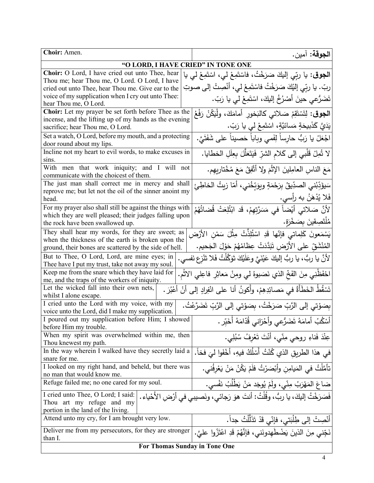| Choir: Amen.                                                                                                            | ا <b>لجوقة:</b> آمين.                                                                                |  |
|-------------------------------------------------------------------------------------------------------------------------|------------------------------------------------------------------------------------------------------|--|
| "O LORD, I HAVE CRIED" IN TONE ONE                                                                                      |                                                                                                      |  |
| Choir: O Lord, I have cried out unto Thee, hear                                                                         | ا <b>لجوق</b> : يا ربِّي إليكَ صَرَخْتُ، فاسْتَمِعْ ل <sub>ِّ</sub> ي، اسْتَمِعْ ل <sub>ِّي</sub> يا |  |
| Thou me; hear Thou me, O Lord. O Lord, I have                                                                           |                                                                                                      |  |
| cried out unto Thee, hear Thou me. Give ear to the                                                                      | ربّ. يا ربّي إليْكَ صَرَخْتُ فاسْتَمِعْ لي، أنْصِتْ إلى صوتِ                                         |  |
| voice of my supplication when I cry out unto Thee:<br>hear Thou me, O Lord.                                             | تَضَرُّعي حينَ أَصْرُخُ إليكَ، اسْتَمِعْ لَي يا رَبّ.                                                |  |
| Choir: Let my prayer be set forth before Thee as the                                                                    |                                                                                                      |  |
| incense, and the lifting up of my hands as the evening                                                                  | ا <b>لـجوق</b> : لِتَسْتَقِمْ صَلاتي كالبَخورِ أمامَكَ، ولْنِكُنْ رَفْعُ                             |  |
| sacrifice; hear Thou me, O Lord.                                                                                        | يَدَيَّ كَذَبيحَةٍ مَسائيَّةٍ، اسْتَمِعْ لي يا رَبّ.                                                 |  |
| Set a watch, O Lord, before my mouth, and a protecting                                                                  | اجْعَلْ يا رَبُّ حارِساً لِفَمي وباباً حَصيناً على شَفَتَيَّ.                                        |  |
| door round about my lips.                                                                                               |                                                                                                      |  |
| Incline not my heart to evil words, to make excuses in                                                                  | لا تُمِلْ قَلْبِي إِلَى كَلامِ الشّرِّ فَيَتَعَلَّلَ بِعِلَلِ الخطايا.                               |  |
| sins.                                                                                                                   |                                                                                                      |  |
| With men that work iniquity; and I will not                                                                             | مَعَ الناسِ العامِلينَ الإثْمَ ولا أتَّفِقُ مَعَ مُخْتَارِيهِم.                                      |  |
| communicate with the choicest of them.<br>The just man shall correct me in mercy and shall                              |                                                                                                      |  |
| reprove me; but let not the oil of the sinner anoint my                                                                 | سَيؤَدِّبُني الصدِّيقُ بِرَحْمَةٍ ويوَبِّخُني، أمّا زيتُ الخاطِئ                                     |  |
| head.                                                                                                                   | فَلا يُدْهَنُ به رأسي.                                                                               |  |
| For my prayer also shall still be against the things with                                                               | لأَنَّ صَلاتي أَيْضاً في مَسَرَّتِهمْ، قَد ابْتُلِعَتْ قُضاتُهُمْ                                    |  |
| which they are well pleased; their judges falling upon                                                                  |                                                                                                      |  |
| the rock have been swallowed up.                                                                                        | مُلْتَصِقِينَ بِصَخْرَةِ.                                                                            |  |
| They shall hear my words, for they are sweet; as                                                                        | يَسْمَعورنَ كَلِماتي فإنّها قَدِ اسْتُلِذَّتْ مِثْلَ سَمْنِ الأَرْضِ                                 |  |
| when the thickness of the earth is broken upon the                                                                      |                                                                                                      |  |
| ground, their bones are scattered by the side of hell.                                                                  | المُنْشَقِّ على الأَرْضِ تَبَدَّدَتْ عِظَامُهُمْ حَوْلَ الْجَحيم.                                    |  |
| But to Thee, O Lord, Lord, are mine eyes; in                                                                            | لأنَّ يا ربُّ، يا ربُّ إليكَ عَيْنَيَّ وعَلَيْكَ تَوَكَّلْتُ فَلا تَنْزِع نَفسي.                     |  |
| Thee have I put my trust, take not away my soul.                                                                        |                                                                                                      |  |
| Keep me from the snare which they have laid for                                                                         | احْفَظْنِي مِنَ الفَخِّ الذي نَصَبوهُ لي ومِنْ مَعاثِرِ فاعِلي الاثْم.                               |  |
| me, and the traps of the workers of iniquity.<br>Let the wicked fall into their own nets,                               |                                                                                                      |  |
| whilst I alone escape.                                                                                                  | تَسْقُطُ الخَطَأَةُ في مَصائِدِهِمْ، وأَكونُ أنا على انْفِرادٍ إلى أنْ أعْبُرَ .                     |  |
| I cried unto the Lord with my voice, with my                                                                            | بِصَوْتي إلى الرَّبِّ صَرَخْتُ، بِصَوْتي إلى الرَّبِّ تَضَرَّعْتُ.                                   |  |
| voice unto the Lord, did I make my supplication.                                                                        |                                                                                                      |  |
| I poured out my supplication before Him; I showed                                                                       | أَسْكُبُ أَمامَهُ تَضَرُّعي وأَحْزاني قُدّامَهُ أُخَبِّرٍ .                                          |  |
| before Him my trouble.                                                                                                  |                                                                                                      |  |
| When my spirit was overwhelmed within me, then                                                                          | عِنْدَ فَناءِ روحي مِنّي، أَنْتَ تَعْرِفُ سُبُلِي.                                                   |  |
| Thou knewest my path.                                                                                                   |                                                                                                      |  |
| In the way wherein I walked have they secretly laid a                                                                   | في هذا الطريق الذي كُنْتُ أَسْلُكُ فيهِ، أَخْفَوا ليَ فخاً.                                          |  |
| snare for me.<br>I looked on my right hand, and beheld, but there was                                                   |                                                                                                      |  |
| no man that would know me.                                                                                              | تأمَّلْتُ في المَيامِنِ وأَبْصَرْتُ فلَمْ يَكُنْ مَنْ يَعْرِفُني.                                    |  |
| Refuge failed me; no one cared for my soul.                                                                             | ضاعَ المَهْرَبُ مِنّي، ولَمْ يُوجَد مَنْ يَطْلُبُ نَفْسي.                                            |  |
|                                                                                                                         |                                                                                                      |  |
| I cried unto Thee, O Lord; I said:<br>فَصَرَخْتُ إليكَ، يا ربُّ، وقُلْتُ: أنتَ هوَ رَجائي، ونَصيبي في أرْضِ الأَحْياء . |                                                                                                      |  |
| Thou art my refuge and my                                                                                               |                                                                                                      |  |
| portion in the land of the living.<br>Attend unto my cry, for I am brought very low.                                    |                                                                                                      |  |
|                                                                                                                         | أَنْصِتْ إلى طِلْبَتي، فإنّي قَدْ تَذَلَّلْتُ جداً.                                                  |  |
| Deliver me from my persecutors, for they are stronger                                                                   | نَجِّني مِنَ الذينَ يَضْطَهِدونَني، فإنَّهُمْ قَدِ اعْتَزُّوا عليَّ.                                 |  |
| than I.                                                                                                                 |                                                                                                      |  |
| For Thomas Sunday in Tone One                                                                                           |                                                                                                      |  |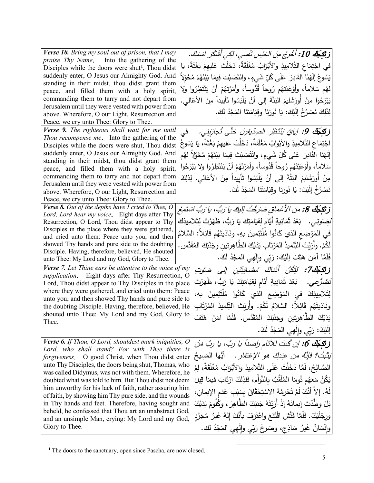| <b>Verse 10.</b> Bring my soul out of prison, that I may                                                             |    | ز <b>تَكِطِّكُ 10:</b> أَخْرِجْ مِنَ الْحَبْسِ نَفْسى، لَكِي أَشْكُر اسْمَكَ.               |
|----------------------------------------------------------------------------------------------------------------------|----|---------------------------------------------------------------------------------------------|
| <i>praise Thy Name.</i> Into the gathering of the                                                                    |    | في اجْتِمَاعِ التَّلامِيذِ والأَبْوَابُ مُغْلَقَةٌ، دَخَلْتَ عَليهِمْ بَغْتَةً، يَا         |
| Disciples while the doors were shut <sup>1</sup> , Thou didst                                                        |    |                                                                                             |
| suddenly enter, O Jesus our Almighty God. And<br>standing in their midst, thou didst grant them                      |    | يَسُوعُ إِلَهَنَا القَادِرَ عَلَى كُلِّ شَيءٍ ، وانْتَصَبْتَ فِيمَا بَيْنَهُمْ مُخَوِّلاً   |
| peace, and filled them with a holy spirit,                                                                           |    | لَهُم سَلاماً، وأَوْعَبْتَهُم رُوحاً قُدُّوساً، وأَمَرْتَهُمْ أَنْ يَنْتَظِرُوا ولا         |
| commanding them to tarry and not depart from                                                                         |    | يَبْرَحُوا مِنْ أُورَشَليمَ البَتَّةَ إِلى أَنْ يَلْبَسُوا تَأْيِيداً مِنَ الأَعَاليِ.      |
| Jerusalem until they were vested with power from                                                                     |    |                                                                                             |
| above. Wherefore, O our Light, Resurrection and                                                                      |    | لِذَلِكَ نَصْرُخُ إِلَيْكَ: يَا نُورَنَا وقِيَامَتَنَا المَجْدُ لَكَ.                       |
| Peace, we cry unto Thee: Glory to Thee.                                                                              |    |                                                                                             |
| Verse 9. The righteous shall wait for me until                                                                       | في | زِنَّكِجَكَ 9: إِيايَّ يَنْتَظِّرُ الصِّدِيقونَ حَتَّى تُجازَبَنِي.                         |
| Thou recompense me. Into the gathering of the<br>Disciples while the doors were shut, Thou didst                     |    | اجْتِمَاعِ التَّلامِيذِ والأَبْوَابُ مُغْلَقَةٌ، دَخَلْتَ عَليهِمْ بَغْتَةً، يَا يَسُوعُ    |
| suddenly enter, O Jesus our Almighty God. And                                                                        |    | إِلَهَنَا القَادِرَ ۖ عَلَى كُلِّ شَيءٍ ، وانْتَصَبْتَ فِيمَا بَيْنَهُمْ مُخَوِّلاً لَهُم   |
| standing in their midst, thou didst grant them                                                                       |    |                                                                                             |
| peace, and filled them with a holy spirit,                                                                           |    | سَلاماً، وأَوْعَبْتَهُم رُوحاً قُدُّوساً، وأَمَرْتَهُمْ أَنْ يَنْتَظِرُوا ولا يَبْرَحُوا    |
| commanding them to tarry and not depart from                                                                         |    | مِنْ أُورَشَليمَ البَتَّةَ إلى أَنْ يَلْبَسُوا تَأْيِيداً مِنَ الأَعَاليِ. لِذَلِكَ         |
| Jerusalem until they were vested with power from                                                                     |    | نَصْرُخُ إِلَيْكَ: يَا نُورَنَا وقِيَامَتَنَا الْمَجْدُ لَكَ.                               |
| above. Wherefore, O our Light, Resurrection and<br>Peace, we cry unto Thee: Glory to Thee.                           |    |                                                                                             |
| Verse 8. Out of the depths have I cried to Thee, O                                                                   |    |                                                                                             |
| Lord, Lord hear my voice. Eight days after Thy                                                                       |    | ز <b>تَكِطِّفُ 8:</b> منَ الأَعْماقِ صَرَخْتُ اللَّكَ يا رَبُّ، يا رَبُّ اسْتَمِعْ          |
| Resurrection, O Lord, Thou didst appear to Thy                                                                       |    | <i>لِصَوْتِي.</i> بَعْدَ ثَمَانِيةِ أَيَّام لِقِيَامَتِكَ يَا رَبُّ، ظَهَرْتَ لِتَلامِيذِكَ |
| Disciples in the place where they were gathered,                                                                     |    | في المَوْضِعِ الذي كَانُوا مُلْتَئِمينَ بهِ، ونَادَيتَهُم قَائِلاً: السَّلامُ               |
| and cried unto them: Peace unto you; and then<br>showed Thy hands and pure side to the doubting                      |    |                                                                                             |
| Disciple. Having, therefore, believed, He shouted                                                                    |    | لَكُمْ. وأَرَبْتَ النِّلميذَ المُرْتَابِ يَدَيْكَ الطَّاهِرتينِ وجَنْبَكَ المُقَدَّسِ.      |
| unto Thee: My Lord and my God, Glory to Thee.                                                                        |    | فَلَمَّا آمَنَ هَتَفَ إِلَيْكَ: رَبِّي وإِلَهِي المَجْدُ لَكَ.                              |
| <b>Verse 7.</b> Let Thine ears be attentive to the voice of my                                                       |    | ز <b>تَكِظِّ 7:</b> لَتِّكُنْ أَذْناكَ مُصْغِيَّتَين إِلى صَنُوتِ                           |
| supplication. Eight days after Thy Resurrection, O                                                                   |    |                                                                                             |
| Lord, Thou didst appear to Thy Disciples in the place                                                                |    | تَضَرَّعـي.    بَعْدَ ثَمَانِيةِ أَيَّام لِقِيَامَتِكَ يَا رَبُّ، ظَهَرْتَ                  |
| where they were gathered, and cried unto them: Peace                                                                 |    | لِتَلامِيذِكَ في المَوْضِعِ الذي كَانُوا مُلْتَئِمينَ بهِ،                                  |
| unto you; and then showed Thy hands and pure side to<br>the doubting Disciple. Having, therefore, believed, He       |    | ونَادَيتَهُم قَائِلاً: السَّلامُ لَكُمْ. وأَرَيْتَ النِّلميذَ المُرْتَابِ                   |
| shouted unto Thee: My Lord and my God, Glory to                                                                      |    |                                                                                             |
| Thee.                                                                                                                |    | يَدَيْكَ الطَّاهِرِتين وجَنْبَكَ المُقَدَّسِ. فَلَمَّا آمَنَ هَتَفَ                         |
|                                                                                                                      |    | إلَيْكَ: رَبِّي وإِلْهِي المَجْدُ لَكَ.                                                     |
| Verse 6. If Thou, O Lord, shouldest mark iniquities, O                                                               |    | زبگجك 6: إن كُنتَ للآثام راصداً يا رَبُ، يا ربُ مَنْ                                        |
| Lord, who shall stand? For with Thee there is                                                                        |    | يَتَبُتُ؟ فَإِنَّهُ من عِنِدَكَ هو الإغتفارِ.<br>أَيُّها المَسِيحُ                          |
| O good Christ, when Thou didst enter<br><i>forgiveness.</i><br>unto Thy Disciples, the doors being shut, Thomas, who |    |                                                                                             |
| was called Didymus, was not with them. Wherefore, he                                                                 |    | الصَّالِحُ، لَمَّا دَخَلْتَ عَلَى النَّلامِيذِ والأَبْوَابُ مُغْلَقَةٌ، لِمْ                |
| doubted what was told to him. But Thou didst not deem                                                                |    | يَكُنْ مَعَهُم تُومَا الْمُلَقَّبُ بِالنَّوْأَمِ، فَلذِلكَ ارْتَابَ فيمَا قِيلَ             |
| him unworthy for his lack of faith, rather assuring him                                                              |    | لَهُ. إلاَّ أَنَّكَ لَمْ تَحْرِمْهُ الاسْتِحْقَاقَ بِسَبَبِ عَدمِ الإِيمانِ،                |
| of faith, by showing him Thy pure side, and the wounds<br>in Thy hands and feet. Therefore, having sought and        |    | بَلْ وطِّدْتَ إيمانَهُ إِذْ أَرَبْتَهُ جَنبَكَ الطَّاهِرَ ، وكُلُومَ يَدَيْكَ               |
| beheld, he confessed that Thou art an unabstract God,                                                                |    |                                                                                             |
| and an unsimple Man, crying: My Lord and my God,                                                                     |    | ورجْلَيْكَ. فَلَمَّا فَتَّشَ اقْتَنَعَ واعْتَرَفَ بِأَنَّكَ إِلهٌ غَيرُ مُجَرَّدٍ           |
| Glory to Thee.                                                                                                       |    | وإِنْسَانٌ غَيرُ سَاذِج، وصَرَخَ رَبِّي وإِلَهِي المَجْدُ لَكَ.                             |
|                                                                                                                      |    |                                                                                             |

**<sup>1</sup>** The doors to the sanctuary, open since Pascha, are now closed.

 $\overline{a}$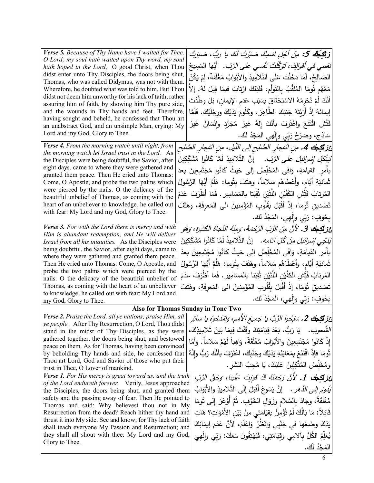| Verse 5. Because of Thy Name have I waited for Thee,<br>O Lord; my soul hath waited upon Thy word, my soul<br>hath hoped in the Lord. O good Christ, when Thou<br>didst enter unto Thy Disciples, the doors being shut,<br>Thomas, who was called Didymus, was not with them.<br>Wherefore, he doubted what was told to him. But Thou<br>didst not deem him unworthy for his lack of faith, rather<br>assuring him of faith, by showing him Thy pure side,<br>and the wounds in Thy hands and feet. Therefore,<br>having sought and beheld, he confessed that Thou art<br>an unabstract God, and an unsimple Man, crying: My<br>Lord and my God, Glory to Thee.<br>Verse 4. From the morning watch until night, from<br>the morning watch let Israel trust in the Lord. As<br>the Disciples were being doubtful, the Savior, after<br>eight days, came to where they were gathered and | زِ بَعِجَكَ 5: مِنْ أَجْلِ اسْمِكَ صَبَرْتُ لَكَ يا ربُ، صَبَرتُ<br>نف <i>سى في أقوالكَ، تَوَكَّلَتْ نَفْسى على الزَّبّ.</i> أَيُّها المَسِيحُ<br>الصَّالِحُ، لَمَّا دَخَلْتَ عَلَى التَّلامِيذِ والأَبْوَابُ مُغْلَقَةٌ، لِمْ يَكُنْ<br>مَعَهُم تُومَا المُلَقَّبُ بِالتَّوأَمِ، فَلذِلكَ ارْتَابَ فيمَا قِيلَ لَهُ. إلاّ<br>أَنَّكَ لَمْ تَحْرِمْهُ الاسْتِحْقَاقَ بِسَبَبِ عَدمِ الإِيمانِ، بَلْ وطَّدْتَ<br>إيمانَهُ إِذْ أَرَيْتَهُ جَنبَكَ الطَّاهِرَ ، وكُلُومَ يَدَيْكَ ورِجْلَيْكَ. فَلَمَّا<br>فَتَّشَ اقْتَنَعَ واعْتَرَفَ بأَنَّكَ إِلٰهٌ غَيرُ مُجَرَّدٍ وإِنْسَانٌ غَيرُ<br>سَاذِج، وصَرَخَ رَبِّي وإِلَهِي المَجْدُ لك.<br>أغز <b>تَكِيك 4.</b> مِنِ انْفِجارِ الصُّنْبِحِ إلى اللَّيلِ، مِنِ انْفِجارِ الصُّنْبِحِ<br><i>لَيَتَّكلِّ إِسْرائيلْ على الرَّبّ.</i> إنَّ التَّلامِيذَ لَمَّا كَانُوا مُشَكِّكِينَ<br>بأمر القيامَةِ، وَافَى المُخَلِّصُ إِلى حَيثُ كَانُوا مُجْتَمِعِينَ بعدَ |
|----------------------------------------------------------------------------------------------------------------------------------------------------------------------------------------------------------------------------------------------------------------------------------------------------------------------------------------------------------------------------------------------------------------------------------------------------------------------------------------------------------------------------------------------------------------------------------------------------------------------------------------------------------------------------------------------------------------------------------------------------------------------------------------------------------------------------------------------------------------------------------------|------------------------------------------------------------------------------------------------------------------------------------------------------------------------------------------------------------------------------------------------------------------------------------------------------------------------------------------------------------------------------------------------------------------------------------------------------------------------------------------------------------------------------------------------------------------------------------------------------------------------------------------------------------------------------------------------------------------------------------------------------------------------------------------------------------------------------------------------------------------------------------------------------------|
| granted them peace. Then He cried unto Thomas:<br>Come, O Apostle, and probe the two palms which<br>were pierced by the nails. O the delicacy of the<br>beautiful unbelief of Thomas, as coming with the<br>heart of an unbeliever to knowledge, he called out<br>with fear: My Lord and my God, Glory to Thee.                                                                                                                                                                                                                                                                                                                                                                                                                                                                                                                                                                        | نَمانيَةِ أَيَّامٍ، وأَعْطَاهُم سَلاماً، وهَتَفَ بِتُوماً: هَلُمَّ أَيُّهَا الرَّسُولُ<br>المُرتابُ فَتِّش الكَفَّيْنِ اللَّتَيْنِ ثُقِبَتا بالمَسَامِيرِ . فَمَا أَظْرَفَ عَدَمَ<br>تَصْديق تُومَا، إذْ أَقْبَلَ بِقُلُوبِ المُؤْمِنينَ الى المَعرفَةِ، وهَتَفَ<br> بِخَوفٍ: رَبِّي وإِلَهِي، المَجْدُ لك.                                                                                                                                                                                                                                                                                                                                                                                                                                                                                                                                                                                                |
| Verse 3. For with the Lord there is mercy and with<br>Him is abundant redemption, and He will deliver<br>Israel from all his iniquities. As the Disciples were<br>being doubtful, the Savior, after eight days, came to<br>where they were gathered and granted them peace.<br>Then He cried unto Thomas: Come, O Apostle, and<br>probe the two palms which were pierced by the<br>nails. O the delicacy of the beautiful unbelief of<br>Thomas, as coming with the heart of an unbeliever<br>to knowledge, he called out with fear: My Lord and<br>my God, Glory to Thee.                                                                                                                                                                                                                                                                                                             | <b>اعزتكجك 3. لأ</b> نَّ م <i>نَ الرَّبِّ الرَّحْمَةَ، وَمِنْهُ النَّجاةَ الكَ</i> ثيرةِ، وَهُوَ<br>َ <i>يَنَجّى إِسْرائِيلَ مِنْ كُلِّ آثامِهِ.</i> إِنَّ التَّلامِيذَ لَمَّا كَانُوا مُشَكِّكِينَ<br>بأمر القيامَةِ، وَافَى المُخَلِّصُ إِلى حَيثُ كَانُوا مُجْتَمِعِينَ بعدَ<br>نَّمانيَةِ أَيَّام، وأعْطَاهُم سَلاماً، وهَتَفَ بِتُوماً: هَلَمَّ أَيُّهَا الرَّسُولُ<br>المُرتابُ فَتِّشِ الكَفَّيْنِ اللَّتَيْنِ ثُقِبَتا بالمَسَامِيرِ . فَمَا أَظْرَفَ عَدَمَ<br>تَصْديق تُومَا، إذْ أَقْبَلَ بِقُلُوبِ الْمُؤْمِنينَ الى المَعرفَةِ، وهَتَفَ<br>بِخَوفٍ: رَبِّي وإِلْهِي، المَجْدُ لك.                                                                                                                                                                                                                                                                                                             |
| Also for Thomas Sunday in Tone Two                                                                                                                                                                                                                                                                                                                                                                                                                                                                                                                                                                                                                                                                                                                                                                                                                                                     |                                                                                                                                                                                                                                                                                                                                                                                                                                                                                                                                                                                                                                                                                                                                                                                                                                                                                                            |
| Verse 2. Praise the Lord, all ye nations; praise Him, all<br>ye people. After Thy Resurrection, O Lord, Thou didst<br>stand in the midst of Thy Disciples, as they were<br>gathered together, the doors being shut, and bestowed<br>peace on them. As for Thomas, having been convinced<br>by beholding Thy hands and side, he confessed that<br>Thou art Lord, God and Savior of those who put their<br>trust in Thee, O Lover of mankind.<br><b>Verse 1.</b> For His mercy is great toward us, and the truth<br>of the Lord endureth forever. Verily, Jesus approached                                                                                                                                                                                                                                                                                                               | غز <b>تَكِطِكَ 2.</b> سَبِّحوا الزَّبَّ يا جَمِيعَ الأَمَمِ، وَامْذَكُوهُ يا سائَرِ<br>يَا رَبُّ، بَعْدَ قِيَامَتِكَ وقَفْتَ فِيمَا بَينَ تَلامِيذِكَ،<br>الشّعوب.<br>إِذْ كَانُوا مُجْتَمِعِينَ والأَبْوَابُ مُغْلَقَةٌ، وَاهِباً لَهُمْ سَلاماً. وأِمَّا<br>تُومَا فإِذْ اقْتَنَعَ بِمُعَايَنَةِ يَدَيْكَ وِجَنْبِكَ، اعْتَرَفَ بِأَنَّكَ رَبٍّ وإِلَهٌ<br>ومُخَلِّصُ المُتَّكِلِينَ عَلَيْكَ، يَا مُحِبَّ البَشَرِ .<br><i>غزنگجك 1. لأنَّ رَحْمَتَهُ قَدْ قَونتْ عَلَينا، وَحَقُّ الرَّبِّ</i>                                                                                                                                                                                                                                                                                                                                                                                                         |
| the Disciples, the doors being shut, and granted them<br>safety and the passing away of fear. Then He pointed to<br>Thomas and said: Why believest thou not in My<br>Resurrection from the dead? Reach hither thy hand and<br>thrust it into My side. See and know; for Thy lack of faith<br>shall teach everyone My Passion and Resurrection; and<br>they shall all shout with thee: My Lord and my God,<br>Glory to Thee.                                                                                                                                                                                                                                                                                                                                                                                                                                                            | َ <i>يَدُومُ إلى الدَّهرِ .</i> إنَّ يَسُوعَ أَقْبَلَ إِلَى النَّلامِيذِ والأَبْوَابُ<br>مُغْلَقَةٌ، وجَادَ بالسَّلام وزَوَالِ الخَوْفِ. ثُمَّ أَوْعَزَ ۖ إِلَى تُومَا<br>قَائِلاً: مَا بَالُكَ لَمْ تُؤْمِنْ بِقِيَامَتِي مِنْ بَيْنِ الأَمْوَاتِ؟ هَاتِ<br>يَدَكَ وضَعَها في جَنْبِي وَانْظُرْ وَاعْلَمْ، لأَنَّ عَدَمَ إيمَانِكَ<br>يُعَلِّمُ الْكُلَّ بِٱلْامِي وقِيَامَتِي، فَيَهْتِفُونَ مَعَكَ: رَبِّي وإِلَهِي<br>المَجْدُ لَكَ.                                                                                                                                                                                                                                                                                                                                                                                                                                                                   |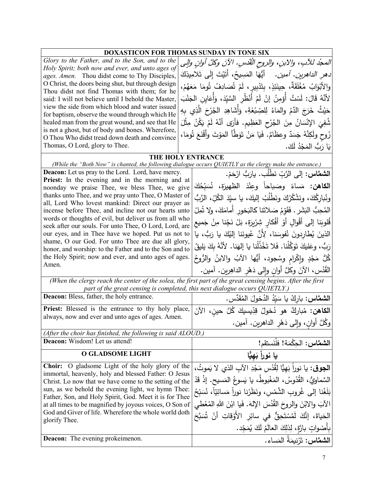|                                                                                                                                                                                            | <b>DOXASTICON FOR THOMAS SUNDAY IN TONE SIX</b>                                                           |
|--------------------------------------------------------------------------------------------------------------------------------------------------------------------------------------------|-----------------------------------------------------------------------------------------------------------|
| Glory to the Father, and to the Son, and to the                                                                                                                                            | المجدُ للآبِ، والإبنِ، والروح القُدْسِ. الآنَ وكلَّ أوانِ والِي                                           |
| Holy Spirit; both now and ever, and unto ages of                                                                                                                                           | <i>دهر الداهرين. آمين.</i> أَيُّهَا المَسِيحُ، أَتَيْتَ إِلَى تَلامِيذِكَ                                 |
| ages. Amen. Thou didst come to Thy Disciples,<br>O Christ, the doors being shut, but through design                                                                                        |                                                                                                           |
| Thou didst not find Thomas with them; for he                                                                                                                                               | والأَبْوَابُ مُغْلَقَةٌ، حِينَئِذٍ، بِتَدْبِيرٍ ، لَمْ تُصَادِفْ تُومَا مَعَهُمْ،                         |
| said: I will not believe until I behold the Master,                                                                                                                                        | لأَنَّهُ قَالَ: لَسْتُ أَؤْمِنُ إِنْ لَمْ أَنْظُرِ السَّيِّدَ، وَأَعَايِنِ الْجَنْبَ                      |
| view the side from which blood and water issued                                                                                                                                            | حَيْثُ خَرَجَ الدَّمُ والمَاءُ لِلصِّبْغَةِ، وَأَشَاهِدِ الْجُرْحَ الَّذِي بِهِ                           |
| for baptism, observe the wound through which He                                                                                                                                            |                                                                                                           |
| healed man from the great wound, and see that He<br>is not a ghost, but of body and bones. Wherefore,                                                                                      | شُفِيَ الإِنْسَانُ مِنَ الْجُرْحِ الْعَظِيمِ. فأرَى أنَّهُ لَمْ يَكُنْ مِثْلَ                             |
| O Thou Who didst tread down death and convince                                                                                                                                             | رُوحٍ ولَكِنَّهُ جَسَدٌ وعِظَامٌ. فَيَا مَنْ تَوَطَّأُ المَوْتَ وأَقْنَعَ تُومَا،                         |
| Thomas, O Lord, glory to Thee.                                                                                                                                                             | يَا رَبُّ الْمَجْدُ لَكَ.                                                                                 |
|                                                                                                                                                                                            | THE HOLY ENTRANCE                                                                                         |
|                                                                                                                                                                                            | (While the "Both Now" is chanted, the following dialogue occurs QUIETLY as the clergy make the entrance.) |
| <b>Deacon:</b> Let us pray to the Lord. Lord, have mercy.                                                                                                                                  | ا <b>لشمَّاس:</b> إلى الرَّبِّ نَطْلُبٍ. يارَبُّ ارْحَمْ.                                                 |
| Priest: In the evening and in the morning and at                                                                                                                                           |                                                                                                           |
| noonday we praise Thee, we bless Thee, we give                                                                                                                                             | ا <b>لكاهن:</b> مَساءً وصَباحاً وعِنْدَ الظهيرَة، نُسَبِّحُكَ                                             |
| thanks unto Thee, and we pray unto Thee, O Master of<br>all, Lord Who lovest mankind: Direct our prayer as                                                                                 | ونُباركُكَ، ونَشْكُرُكَ ونَطْلُبُ إليكَ، يا سيّدَ الكُلِّ، الرَّبُّ                                       |
| incense before Thee, and incline not our hearts unto                                                                                                                                       | المُحِبُّ البَشَرِ . فَقَوّمْ صَلاتَنا كالبَخورِ أمامَكَ، ولا تُمِلْ                                      |
| words or thoughts of evil, but deliver us from all who                                                                                                                                     | قُلوبَنا إلى أقْوالٍ أَوْ أَفْكارِ شِرّيرَة، بَلْ نَجِّنا مِنْ جَميع                                      |
| seek after our souls. For unto Thee, O Lord, Lord, are                                                                                                                                     |                                                                                                           |
| our eyes, and in Thee have we hoped. Put us not to                                                                                                                                         | الذينَ يُطارِدونَ نُفوسَنا، لِأَنَّ عُيونَنا إليْكَ يا رَبُّ، يا                                          |
| shame, O our God. For unto Thee are due all glory,<br>honor, and worship: to the Father and to the Son and to                                                                              | رَبُّ، وعَليكَ تَوَكَّلْنا. فَلا تَخْذُلْنا يا إلهَنا. لأَنَّهُ بِكَ يَليقُ                               |
| the Holy Spirit; now and ever, and unto ages of ages.                                                                                                                                      | كُلُّ مَجْدٍ وإكْرامٍ وسُجودٍ، أيُّها الآبُ والابنُ والرُّوحُ                                             |
| Amen.                                                                                                                                                                                      |                                                                                                           |
|                                                                                                                                                                                            | الْقُدُسِ، الْأَنَ وَكُلَّ أُوانِ وَإِلَى دَهْرِ الدَاهِرِينِ. آمينِ.                                     |
| (When the clergy reach the center of the solea, the first part of the great censing begins. After the first<br>part of the great censing is completed, this next dialogue occurs QUIETLY.) |                                                                                                           |
| Deacon: Bless, father, the holy entrance.                                                                                                                                                  |                                                                                                           |
|                                                                                                                                                                                            | ا <b>لشمَّاس:</b> باركْ يا سَيّدُ الدُخولَ المُقَدَّس.                                                    |
| Priest: Blessed is the entrance to thy holy place,                                                                                                                                         | ا <b>لكاهن:</b> مُباركٌ هو دُخولُ قِدِّيسيكَ كُلَّ حينٍ، الآنَ                                            |
| always, now and ever and unto ages of ages. Amen.                                                                                                                                          | وكُلَّ أُوان، وإلىي دَهْرِ الداهريِن. آمين.                                                               |
| (After the choir has finished, the following is said ALOUD.)                                                                                                                               |                                                                                                           |
| Deacon: Wisdom! Let us attend!                                                                                                                                                             | الشمَّاس: الحِكْمَة! فلْنَستقم!                                                                           |
| <b>O GLADSOME LIGHT</b>                                                                                                                                                                    | يا نوراً بَهيًّا                                                                                          |
|                                                                                                                                                                                            |                                                                                                           |
| <b>Choir:</b> O gladsome Light of the holy glory of the<br>immortal, heavenly, holy and blessed Father: O Jesus                                                                            | ا <b>لجوق:</b> يا نوراً بَهيًّا لِقُدْس مَجْدِ الآبِ الذي لا يَموتُ،                                      |
| Christ. Lo now that we have come to the setting of the                                                                                                                                     | السَّماويُّ، القُدّوسُ، المَغْبوطُ، يا يَسوعُ المَسيحِ. إذْ قَدْ                                          |
| sun, as we behold the evening light, we hymn Thee:                                                                                                                                         | بَلَغْنا إِلَى غُروبِ الشَّمْسِ، ونَظَرْنِا نوراً مَسائِيّاً، نُسَبِّحُ                                   |
| Father, Son, and Holy Spirit, God. Meet it is for Thee                                                                                                                                     |                                                                                                           |
| at all times to be magnified by joyous voices, O Son of                                                                                                                                    | الآبَ والابْنَ والروحَ القُدُسَ الإِلهَ. فَيا ابْنَ اللهِ المُعْطى                                        |
| God and Giver of life. Wherefore the whole world doth<br>glorify Thee.                                                                                                                     | الْحَياةَ، إِنَّكَ لَمُسْتَحِقٌّ في سائِرِ الأَوْقاتِ أَنْ شُبَجَ                                         |
|                                                                                                                                                                                            | بِأَصْواتٍ بارَّةٍ، لِذلِكَ العالَمُ لَكَ يُمَجِّد.                                                       |
| <b>Deacon:</b> The evening prokeimenon.                                                                                                                                                    | ا <b>لشمَّاس:</b> تَرْنيمَةُ المَساء.                                                                     |
|                                                                                                                                                                                            |                                                                                                           |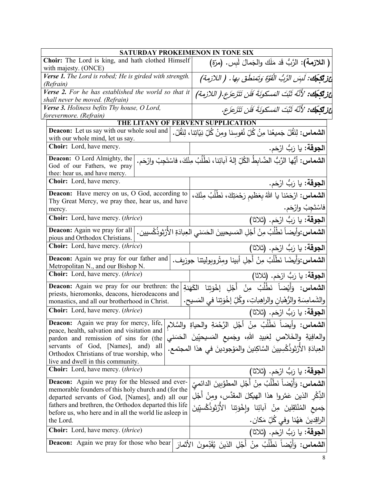| <b>SATURDAY PROKEIMENON IN TONE SIX</b>                                                                         |                                                                                               |  |
|-----------------------------------------------------------------------------------------------------------------|-----------------------------------------------------------------------------------------------|--|
| Choir: The Lord is king, and hath clothed Himself                                                               | ( اللازمة): الرَّبُّ قَد مَلَك والجَمالَ لَبس. (مرّة)                                         |  |
| with majesty. (ONCE)                                                                                            |                                                                                               |  |
| Verse 1. The Lord is robed; He is girded with strength.<br>(Refrain)                                            | غز تَكِجَك: لَبِسَ الزَّبُ الْقُوَّةِ وَتَمَنطَقَ بِها . ( اللازمة)                           |  |
| Verse 2. For he has established the world so that it<br>shall never be moved. (Refrain)                         | عْزِ تَكْبَكَ: 'لأَنَّهُ ثَبَّتَ الْمَسْكُونَةَ فَلَن تَتَزَعَزَع.( اللازمة)                  |  |
| Verse 3. Holiness befits Thy house, O Lord,                                                                     | أَعْزَ تَكَجَكَ: 'لأَنَّهُ ثَبَّتَ المَسكونَةَ فَلَن تَتَزَعَزَع.                             |  |
| forevermore. (Refrain)                                                                                          |                                                                                               |  |
| THE LITANY OF                                                                                                   | <b>NT SUPPLICATION</b>                                                                        |  |
| Deacon: Let us say with our whole soul and<br>with our whole mind, let us say.                                  | <b>الشماس:</b> لِنَقُلْ جَميعُنا مِنُ كُلِّ نُفوسنا ومنْ كُلِّ نِيّاتِنا، لِنَقُلْ.           |  |
| <b>Choir:</b> Lord, have mercy.                                                                                 | ا <b>لجوقة:</b> يا رَبُّ ارْحَم.                                                              |  |
|                                                                                                                 |                                                                                               |  |
| Deacon: O Lord Almighty, the<br>God of our Fathers, we pray<br>thee: hear us, and have mercy.                   | الشماس: أيُّها الرَّبُّ الضَّابِطُ الكُلِّ إلهُ آبائِنا، نَطْلُبُ مِنْكَ، فاسْتَجِبْ وارْحَم. |  |
| Choir: Lord, have mercy.                                                                                        | ا <b>لجوقة:</b> يا رَبُّ ارْحَم.                                                              |  |
|                                                                                                                 |                                                                                               |  |
| Deacon: Have mercy on us, O God, according to<br>Thy Great Mercy, we pray thee, hear us, and have               | ا <b>لشماس:</b> ارْحَمْنا يا اللهُ بِعَظيم رَحْمَتِكَ، نَطْلُبُ مِنْكَ،                       |  |
| mercy.                                                                                                          | فاسْتَجِبْ وارْحَم.                                                                           |  |
| Choir: Lord, have mercy. (thrice)                                                                               | ا <b>لجوقة:</b> يا رَبُّ ارْحَم. (ثلاثا)                                                      |  |
| <b>Deacon:</b> Again we pray for all                                                                            | ا <b>لشماس:</b> وأيضاً نَطْلُبُ مِنْ أَجْلِ المَسيحيينَ الحَسَني العِبادَةِ الأَرْثوذُكُسيين. |  |
| pious and Orthodox Christians.                                                                                  |                                                                                               |  |
| <b>Choir:</b> Lord, have mercy. <i>(thrice)</i>                                                                 | ا <b>لجوقة:</b> يا رَبُّ ارْحَم. (ثلاثا)                                                      |  |
| Deacon: Again we pray for our father and<br>Metropolitan N., and our Bishop N.                                  | الشماس:وَأيضًا نَطْلُبُ مِنْ أجلِ أبينا ومثْروبوليتنا جوزيف.                                  |  |
| <b>Choir:</b> Lord, have mercy. (thrice)                                                                        | الجوقة: يا رَبُّ ارْحَم. (ثلاثا)                                                              |  |
| <b>Deacon:</b> Again we pray for our brethren: the                                                              | ا <b>لشماس:</b> وَأَيْضاً نَطْلُبُ مِنْ أَجْلِ إخْوَتِنا الكَهَنةِ                            |  |
| priests, hieromonks, deacons, hierodeacons and                                                                  |                                                                                               |  |
| monastics, and all our brotherhood in Christ.                                                                   | والشَمامِسَةِ والرُّهْبانِ والراهِباتِ، وكُلِّ إخْوَتِنا في المَسيحِ.                         |  |
| <b>Choir:</b> Lord, have mercy. <i>(thrice)</i>                                                                 | ا <b>لجوقة:</b> يا رَبُّ ارْحَم. (ثلاثا)                                                      |  |
| <b>Deacon:</b> Again we pray for mercy, life,                                                                   | ا <b>لشماس:</b> وأيضاً نَطْلُبُ مِنْ أَجْلِ الرَّحْمَةِ والحياةِ والسَّلام                    |  |
| peace, health, salvation and visitation and<br>pardon and remission of sins for (the                            | والعافِيَةِ والخَلاصِ لِعَبِيدِ اللهِ، وجَميع المَسيحيِّينَ الحَسَني                          |  |
| servants of God, [Names], and) all                                                                              |                                                                                               |  |
| Orthodox Christians of true worship, who                                                                        | العِبادَةِ الأَرْثوذُكْسِيينَ السَّاكِنينَ والمَوْجودينَ في هذا المجتمع.                      |  |
| live and dwell in this community.                                                                               |                                                                                               |  |
| <b>Choir:</b> Lord, have mercy. <i>(thrice)</i>                                                                 | ا <b>لجوقة:</b> يا رَبُّ ارْحَم. (ثلاثا)                                                      |  |
| <b>Deacon:</b> Again we pray for the blessed and ever-                                                          | الشماس: وَأَيْضاً نَطْلُبُ مِنْ أَجْلِ المطوَّبينَ الدائميِّ                                  |  |
| memorable founders of this holy church and (for the                                                             |                                                                                               |  |
| departed servants of God, [Names], and) all our                                                                 | الذِّكْرِ الذينِ عَمَّروا هذا الهيكلَ المقدَّسِ، ومنْ أَجْلِ                                  |  |
| fathers and brethren, the Orthodox departed this life<br>before us, who here and in all the world lie asleep in | المُنْتَقِلِينَ مِنْ آبائِنا وإِخْوَتِنا الأَرْثوذَكْسيِّينَ                                  |  |
| the Lord.                                                                                                       | الراقِدينَ هَهُنا وفي كُلِّ مَكان.                                                            |  |
| <b>Choir:</b> Lord, have mercy. <i>(thrice)</i>                                                                 | ا <b>لجوقة:</b> يا رَبُّ ارْحَم. (ثلاثا)                                                      |  |
| <b>Deacon:</b> Again we pray for those who bear                                                                 | ا <b>لشماس:</b> وَأَيْضاً نَطْلُبُ مِنْ أَجْلِ الذينَ يُقَدِّمونَ الأثمارَ                    |  |
|                                                                                                                 |                                                                                               |  |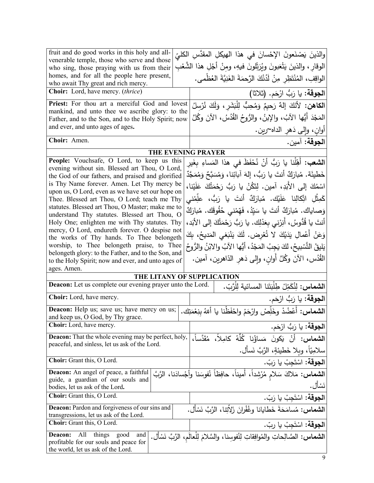| fruit and do good works in this holy and all-                                                             | والذينَ يَصْنَعونَ الإِحْسانَ في هذا الهيكلِ المقدَّسِ الكليّ                                    |  |
|-----------------------------------------------------------------------------------------------------------|--------------------------------------------------------------------------------------------------|--|
| venerable temple, those who serve and those<br>who sing, those praying with us from their                 | الوقارِ ، والذينَ يَتْعَبونَ ويُرَتِّلونَ فيهِ، ومِنْ أَجْلِ هذا الشَّعْبِ                       |  |
| homes, and for all the people here present,                                                               | الواقِفِ، المُنْتَظِرِ مِنْ لَدُنْكَ الرَّحمَةَ الغَنِيَّةَ العُظْمى.                            |  |
| who await Thy great and rich mercy.                                                                       |                                                                                                  |  |
| Choir: Lord, have mercy. (thrice)                                                                         | ا <b>لجوقة:</b> يا رَبُّ ارْحَم. (ثلاثا)                                                         |  |
| Priest: For thou art a merciful God and lovest                                                            | الكاهن: لأَنَكَ إِلهٌ رَحِيمٌ وَمُحِبٌّ لِلْبَشَرِ، وَلَكَ نُرْسِلُ                              |  |
| mankind, and unto thee we ascribe glory: to the                                                           | المَجْدَ أَيُّها الآبُ، والإِبنُ، والرُّوحُ القُدُسُ، الآنَ وكُلَّ                               |  |
| Father, and to the Son, and to the Holy Spirit; now<br>and ever, and unto ages of ages.                   |                                                                                                  |  |
|                                                                                                           | أوان، وإلى دَهر الداه~رين.                                                                       |  |
| Choir: Amen.                                                                                              | ا <b>لجوقة:</b> آمين.                                                                            |  |
| THE EVENING PRAYER                                                                                        |                                                                                                  |  |
| People: Vouchsafe, O Lord, to keep us this                                                                | ا <b>لشعب:</b> أَهِّلْنا يا رَبُّ أنْ نُحْفَظَ في هذا المَساءِ بِغَيرِ                           |  |
| evening without sin. Blessed art Thou, O Lord,<br>the God of our fathers, and praised and glorified       | خَطْيئَة. مُبارَكٌ أَنتَ يا رَبُّ، إِلهَ آبائِنا، وَمُسَبَّحٌ وَمُمَجَّدٌ                        |  |
| is Thy Name forever. Amen. Let Thy mercy be                                                               | اسْمُكَ إِلَى الأَبَدِ، آمين. لِتَكُنْ يا رَبُّ رَحْمَتُكَ عَلَيْنا،                             |  |
| upon us, O Lord, even as we have set our hope on                                                          |                                                                                                  |  |
| Thee. Blessed art Thou, O Lord; teach me Thy                                                              | كَمِثْلِ اتِّكالِنا عَلَيْك. مُبارَكٌ أنتَ يا رَبُّ، علِّمْنى                                    |  |
| statutes. Blessed art Thou, O Master; make me to<br>understand Thy statutes. Blessed art Thou, O          | وَصاياك. مُبارَكٌ أَنتَ يا سَيّدُ، فَهّمْنى حُقُوقَك. مُبارَكٌ                                   |  |
| Holy One; enlighten me with Thy statutes. Thy                                                             | أنتَ يا قُدُّوسُ، أَنِرْني بِعَدْلِك. يا رَبُّ رَحْمَتُكَ إلى الأَبَد،                           |  |
| mercy, O Lord, endureth forever. O despise not                                                            |                                                                                                  |  |
| the works of Thy hands. To Thee belongeth                                                                 | وَعَنْ أَعْمالِ يَدَيْكَ لا تُعْرِض. لَكَ يَنْبَغي المَديحُ، بِكَ                                |  |
| worship, to Thee belongeth praise, to Thee                                                                | يَلِيقُ التَّسْبِيحُ، لكَ يَجِبُ المَجْدُ، أَيُّها الآبُ والابْنُ والرُّوحُ                      |  |
| belongeth glory: to the Father, and to the Son, and<br>to the Holy Spirit; now and ever, and unto ages of | الْقُدُس، الآنَ وكُلَّ أُوانِ، وإِلَى دَهْرِ الدَّاهْرِينِ، آمين.                                |  |
| ages. Amen.                                                                                               |                                                                                                  |  |
| THE LITANY OF SUPPLICATION                                                                                |                                                                                                  |  |
| <b>Deacon:</b> Let us complete our evening prayer unto the Lord.                                          | ا <b>لشماس:</b> لِنُكَمِّلْ طِلْبَتَنا المسائية لِلْرَّبّ.                                       |  |
| Choir: Lord, have mercy.                                                                                  | ا <b>لجوقة:</b> يا رَبُّ ارْحَم.                                                                 |  |
| Deacon: Help us; save us; have mercy on us;                                                               | <b>الشماس:</b> أُعْضُدْ وخَلِّصْ وارْحَمْ واحْفَظْنا يا أل <i>لهُ</i> بِنِعْمَتِك.               |  |
| and keep us, O God, by Thy grace.<br><b>Choir:</b> Lord, have mercy.                                      |                                                                                                  |  |
| <b>Deacon:</b> That the whole evening may be perfect, holy,                                               | ا <b>لجوقة:</b> يا رَبُّ ارْحَم.                                                                 |  |
| peaceful, and sinless, let us ask of the Lord.                                                            | ا <b>لشماس:</b> أَنْ يَكونَ مَساؤُنِا كُلَّهُ كامِلاً، مُقَدَّساً،                               |  |
|                                                                                                           | سلامِيّاً، وبلا خَطيئةٍ، الرَّبَّ نَسأل.                                                         |  |
| Choir: Grant this, O Lord.                                                                                | ا <b>لجوقة:</b> اسْتَجِبْ يا رَبّ.                                                               |  |
| <b>Deacon:</b> An angel of peace, a faithful                                                              | ا <b>لشماس:</b> مَلاكَ سَلام مُرْشِداً، أميناً، حافِظاً نُفوسَنا وأجْسادَنا، الرَّبَّ            |  |
| guide, a guardian of our souls and<br>bodies, let us ask of the Lord.                                     | نَسْأَل.                                                                                         |  |
| Choir: Grant this, O Lord.                                                                                | ا <b>لجوقة:</b> اسْتَجِبْ يا رَبّ.                                                               |  |
| <b>Deacon:</b> Pardon and forgiveness of our sins and                                                     | ا <b>لشماس:</b> مُسامَحَةَ خَطايانا وغُفْرانَ زَلاَتِنا، الرَّبَّ نَسْأَل.                       |  |
| transgressions, let us ask of the Lord.                                                                   |                                                                                                  |  |
| Choir: Grant this, O Lord.                                                                                | ا <b>لجوقة:</b> اسْتَجِبْ يا ربّ.                                                                |  |
| All<br>things<br>Deacon:<br>good<br>and                                                                   | ا <b>لشماس:</b> الصَّالِحاتِ والمُوافِقاتِ لِنُفوسِنا، والسَّلامَ لِلْعالَمِ، الرَّبَّ نَسْأَلٍ. |  |
| profitable for our souls and peace for                                                                    |                                                                                                  |  |
| the world, let us ask of the Lord.                                                                        |                                                                                                  |  |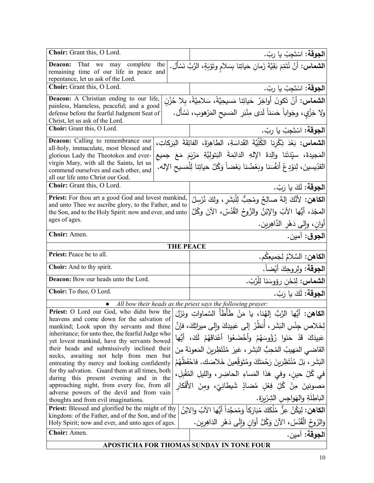| Choir: Grant this, O Lord.                                                                                                   | ا <b>لجوقة</b> : اسْتَجِبْ يا ربّ.                                                                                   |
|------------------------------------------------------------------------------------------------------------------------------|----------------------------------------------------------------------------------------------------------------------|
| <b>Deacon:</b> That we may complete<br>the<br>remaining time of our life in peace and<br>repentance, let us ask of the Lord. | ا <b>لشماس:</b> أَنْ نُتَمِّمَ بَقِيَّةَ زَمانِ حَياتِنا بِسَلامِ وتَوْبَةٍ، الرَّبَّ نَسْأَلْ.                      |
| Choir: Grant this, O Lord.                                                                                                   | ا <b>لجوقة:</b> اسْتَجِبْ يا ربّ.                                                                                    |
| Deacon: A Christian ending to our life,                                                                                      | ا <b>لشماس:</b> أنْ تَكونَ أواخِرُ حَياتِنا مَسيحِيَّةً، سَلامِيَّةً، بِلا حُزْنِ                                    |
| painless, blameless, peaceful; and a good<br>defense before the fearful Judgment Seat of<br>Christ, let us ask of the Lord.  | ولا خِزْيٍ، وجَواباً حَسَناً لَدى مِنْبَرِ المَسيحِ المَرْهوبِ، نَسْأَلْ.                                            |
| Choir: Grant this, O Lord.                                                                                                   | ا <b>لجوقة:</b> اسْتَجِبْ يا ربّ.                                                                                    |
| Deacon: Calling to remembrance our                                                                                           | الشماس: بَعْدَ ذِكْرِنا الظَّلِّيَّةَ القَداسَةِ، الطاهِرَةَ، الفائِقَةَ البَرَكاتِ،                                 |
| all-holy, immaculate, most blessed and<br>glorious Lady the Theotokos and ever-                                              | المَجيدةَ، سيِّدَتَنا والِدةَ الإِلهِ الدائِمَةَ البَتولِيَّةِ مَرْيَمَ مَعَ جميع                                    |
| virgin Mary, with all the Saints, let us                                                                                     | القدِّيسينَ، لِنوْدِعْ أَنفُسَنا وبَعْضُنا بَعْضاً وَكُلَّ حَياتِنا لِلْمَسيحِ الإله.                                |
| commend ourselves and each other, and<br>all our life unto Christ our God.                                                   |                                                                                                                      |
| Choir: Grant this, O Lord.                                                                                                   | ا <b>لجوقة:</b> لَكَ يا رَبّ.                                                                                        |
| Priest: For thou art a good God and lovest mankind,                                                                          | ا <b>لكاهن:</b> لأَنَّكَ إلهٌ صالِحٌ ومُحِبٌّ لِلْبَشَرِ ، ولكَ نُرْسِلُ                                             |
| and unto Thee we ascribe glory, to the Father, and to<br>the Son, and to the Holy Spirit: now and ever, and unto             | الممجْدَ، أَيُّها الآبُ والإِبْنُ والرُّوحُ القُدُسُ، الآنَ وكُلَّ                                                   |
| ages of ages.                                                                                                                | أُوان، وَإِلَى دَهْرِ الدَّاهِرِينِ.                                                                                 |
| Choir: Amen.                                                                                                                 | ا <b>لجوق</b> : آمين.                                                                                                |
|                                                                                                                              | <b>THE PEACE</b>                                                                                                     |
| Priest: Peace be to all.                                                                                                     | ا <b>لكاهن:</b> السَّلامُ لِجَميعِكُم.                                                                               |
| Choir: And to thy spirit.                                                                                                    | ا <b>لجوقة</b> : ولروحِكَ أيْضاً.                                                                                    |
| Deacon: Bow our heads unto the Lord.                                                                                         | ا <b>لشماس:</b> لِنَحْن رؤوسَنا لِلْرَّبّ.                                                                           |
| Choir: To thee, O Lord.                                                                                                      | ا <b>لجوقة:</b> لَكَ يا رَبّ.                                                                                        |
|                                                                                                                              | • All bow their heads as the priest says the following prayer:                                                       |
|                                                                                                                              | Priest: O Lord our God, who didst bow the المُقْطَأ السَّمَاوَاتِ وَنَزَلَ Priest: O Lord our God, who didst bow the |
| heavens and come down for the salvation of<br>mankind; Look upon thy servants and thine                                      | لِخَلاص جِنْسِ البَشَرِ ، أَنظَرْ إِلَى عَبِيدِكَ وإِلَى ميراثِكَ، فإنَّ                                             |
| inheritance; for unto thee, the fearful Judge who                                                                            | عَبِيدَكَ قَدْ حَنَوا رُؤُوسَهُمْ وأَخْضَعُوا أَعْناقَهُمْ لَكَ، أَيُّها                                             |
| yet lovest mankind, have thy servants bowed<br>their heads and submissively inclined their                                   |                                                                                                                      |
| necks, awaiting not help from men but                                                                                        | القاضي المَهيبُ الْمُحِبُّ البَشَرِ ، غيرَ مُنْتَظِرِينَ المَعونَةَ مِنَ                                             |
| entreating thy mercy and looking confidently<br>for thy salvation. Guard them at all times, both                             | الْبَشَرِ ، بَلْ مُنْتَظِرِينَ رَحْمَتَكَ وِمُتَوَقِّعِينَ خَلاصَك. فاحْفَظْهُمْ                                     |
| during this present evening and in the                                                                                       | في كُلِّ حين، وفي هَذا المَساءِ الحاضِرِ ، واللَّيلِ المُقْبِلِ،                                                     |
| approaching night, from every foe, from all                                                                                  | مَصونينَ مِنْ كُلِّ فِعْلِ مُضادِّ شَيطَانِيِّ، ومِنَ الأَفْكار                                                      |
| adverse powers of the devil and from vain<br>thoughts and from evil imaginations.                                            | الباطِلةِ والهَواجِسِ الشِرِّيرَةِ.                                                                                  |
| <b>Priest:</b> Blessed and glorified be the might of thy                                                                     | ا <b>لكاهن:</b> لِيَكُنْ عِزُّ مُلْكَكَ مُبَارَكاً وَمُمَجَّداً أَيُّها الآبُ والابْنُ                               |
| kingdom: of the Father, and of the Son, and of the<br>Holy Spirit; now and ever, and unto ages of ages.                      | وَالزُوحُ الْقُدُسْ، الآنَ وَكُلَّ أَوَانٍ وَإِلَى دَهْرِ الدَاهِرِينِ.                                              |
| Choir: Amen.                                                                                                                 | ا <b>لجوقة:</b> آمين.                                                                                                |
|                                                                                                                              | <b>APOSTICHA FOR THOMAS SUNDAY IN TONE FOUR</b>                                                                      |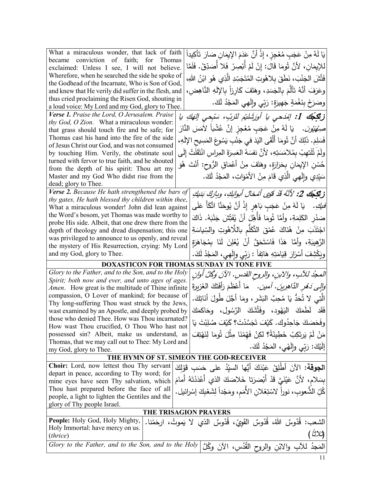| What a miraculous wonder, that lack of faith                                                                   |                                                                                      |
|----------------------------------------------------------------------------------------------------------------|--------------------------------------------------------------------------------------|
| became conviction of faith; for Thomas                                                                         | يَا لَهُ مِنْ عَجَبٍ مُعْجِزٍ ، إِذْ أَنَّ عَدَمَ الإِيمَانِ صَارَ تَأْكِيداً ۖ      |
| exclaimed: Unless I see, I will not believe.                                                                   | للإيِمَانِ، لأَنَّ تُومَا قَالَ: إِنْ لَمْ أَبْصِرْ فَلا أَصَدِّقْ. فَلَمَّا         |
| Wherefore, when he searched the side he spoke of                                                               | فَتَّشَ الجَنْبَ، نَطَقَ بِلاهُوتِ المُتَجَسِّدِ الَّذِي هُو ابْنُ اللهِ،            |
| the Godhead of the Incarnate, Who is Son of God,                                                               |                                                                                      |
| and knew that He verily did suffer in the flesh, and                                                           | وعَرَفَ أَنَّهُ تَأَلَّمَ بِالْجَسَدِ، وهَتَفَ كَارِزاً بِالإَلَهِ النَّاهِضِ،       |
| thus cried proclaiming the Risen God, shouting in                                                              | وصَرَخَ بِنَغْمَةٍ جَهِيرَةٍ: رَبِّي وإِلَهِي المَجْدُ لَكَ.                         |
| a loud voice: My Lord and my God, glory to Thee.                                                               |                                                                                      |
| Verse 1. Praise the Lord, O Jerusalem. Praise                                                                  | زيتججك 1: إمْدَحى يا أُوَرَثَمْليُم للرّبِ، سَبْحى إِلْهَكِ يا                       |
| thy God, O Zion. What a miraculous wonder:<br>that grass should touch fire and be safe; for                    | <i>صِنْهَيْون.</i> يَا لَهُ مِنْ عَجَبِ مُعْجِزٍ  إنَّ عُشْباً لأَمَسَ النَّارَ      |
| Thomas cast his hand into the fire of the side                                                                 |                                                                                      |
| of Jesus Christ our God, and was not consumed                                                                  | فَسَلِمَ. ذَلِكَ أَنَّ تُومَا أَلْقَى الَّيَدَ في جَنْبِ يَسُوعَ المَسِيحِ الإِلَهِ، |
| by touching Him. Verily, the obstinate soul                                                                    | ولَمْ تْلْتِهِبْ بِمُلامَسَتِهِ، لأَنَّ نفسَهُ العَسِرَةَ المِراسِ انْتَقَلَتْ إِلَى |
| turned with fervor to true faith, and he shouted                                                               |                                                                                      |
| from the depth of his spirit: Thou art my                                                                      | حُسْنِ الإيِمَانِ بِحَرَارَةٍ، وهَتَفَ مِنْ أَعْمَاقِ الرُّوحِ: أَنْتَ هُوَ          |
| Master and my God Who didst rise from the                                                                      | سَيِّدِي وإِلَهِي الَّذِي قَامَ مِنْ الأَمْوَاتِ، المَجْدُ لَكَ.                     |
| dead; glory to Thee.                                                                                           |                                                                                      |
| Verse 2. Because He hath strengthened the bars of                                                              | زِ تِكْمِكَ 2: لأَنَّهُ قَدْ قَوْى أَمْحَالَ أَبوالِكِ، وبِارَكَ بَنِيكِ             |
| thy gates, He hath blessed thy children within thee.                                                           |                                                                                      |
| What a miraculous wonder! John did lean against                                                                | َ يَا لَهُ مِنْ عَجَبٍ بَاهِرٍ إِذْ أَنَّ يُوحَنَّا اتَّكَأَ عَلَى<br>فيك .          |
| the Word's bosom, yet Thomas was made worthy to                                                                | صَدْرِ الكَلِمَةِ، وأَمَّا تُومَا فَأَهِّلَ أَنْ يُفَتِّشَ جَنْبَهُ. ذَاكَ           |
| probe His side. Albeit, that one drew there from the<br>depth of theology and dread dispensation; this one     | اجْتَذَبَ مِنْ هُنَاكَ عُمْقَ التَّكَلَّم باللَّاهُوتِ والسِّياسَةِ                  |
| was privileged to announce to us openly, and reveal                                                            |                                                                                      |
| the mystery of His Resurrection, crying: My Lord                                                               | الرَّهِيبَةِ، وأَمَّا هَذَا فَاسْتَحَقَّ أَنْ يُعْلِنَ لَذَا بِمُجَاهَرَةِ           |
| and my God, glory to Thee.                                                                                     | ويَكْشِفَ أَسْرَارَ قِيَامَتِهِ هَاتِفاً : رَبِّي وإِلَهِي، المَجْدُ لَكَ.           |
|                                                                                                                |                                                                                      |
| DOXASTICON FOR THOMAS SUNDAY IN TONE FIVE                                                                      |                                                                                      |
| Glory to the Father, and to the Son, and to the Holy                                                           | الممجدُ للآبِ، والإبنِ، والروح القدسِ. الآنَ وَكُلَّ أُوانِ                          |
| Spirit; both now and ever, and unto ages of ages.<br><i>Amen.</i> How great is the multitude of Thine infinite | <i>َوَالِي دَهْرِ الدَّاهِرِينَ. آمين.</i> مَا أَعْظَمَ رَأَفَتَكَ الْغَزيزةَ        |
| compassion, O Lover of mankind; for because of                                                                 |                                                                                      |
| Thy long-suffering Thou wast struck by the Jews,                                                               | الَّتِي لا تُحَدُّ يَا مُحِبَّ النِّشَرِ ، ومَا أَجَّلَ طُولَ أَنَاتِكَ.             |
| wast examined by an Apostle, and deeply probed by                                                              | فَقَد لَطَمَكَ اليَهُود، وفَتَّشَكَ الرَّسُول، وحَاكمَكَ                             |
| those who denied Thee. How was Thou incarnated?                                                                | وفَحَصَكَ جَاحِدُوكِ. كَيْفَ تَجَسَّدْتَ؟ كَيْفَ صُلِبْتَ يَا                        |
| How wast Thou crucified, O Thou Who hast not                                                                   |                                                                                      |
| possessed sin? Albeit, make us understand, as                                                                  | مَنْ لَمْ يَرتَكِبْ خَطِيئَةً؟ لكِنْ فَهِّمْنَا مِثْلَ ثُومَا لِنَهْتِفَ             |
| Thomas, that we may call out to Thee: My Lord and<br>my God, glory to Thee.                                    | إِلَيْكَ: رَبِّي وِإِلَهْي، المَجْدُ لَكَ.                                           |
| THE HYMN OF ST. SIMEON THE GOD-RECEIVER                                                                        |                                                                                      |
| <b>Choir:</b> Lord, now lettest thou Thy servant                                                               |                                                                                      |
| depart in peace, according to Thy word; for                                                                    | ا <b>لجوقة:</b> الآنَ أَطْلِقْ عَبْدَكَ أَيُّها السيّدُ على حَسَبٍ قَوْلَكَ          |
| mine eyes have seen Thy salvation, which                                                                       | بِسَلام، لأَنَّ عَيْنَيَّ قَدْ أَبْصَرَتا خَلاصَكَ الذي أَعْدَدْتَهُ أمامَ           |
| Thou hast prepared before the face of all                                                                      |                                                                                      |
| people, a light to lighten the Gentiles and the                                                                | كُلِّ الشَّعوبِ، نوراً لاسْتِعْلان الأُمَمِ، ومَجْداً لِشَعْبِكَ إِسْرائيل.          |
| glory of Thy people Israel.                                                                                    |                                                                                      |
| <b>THE TRISAGION PRAYERS</b>                                                                                   |                                                                                      |
| People: Holy God, Holy Mighty,                                                                                 | الشعب: قُدّوسٌ اللهُ، قُدّوسٌ القَوِيّ، قُدّوسٌ الذي لا يَموتُ، ارحَمْنا.            |
| Holy Immortal: have mercy on us.                                                                               |                                                                                      |
| (thrice)                                                                                                       | (ثلاثاً '                                                                            |
| Glory to the Father, and to the Son, and to the Holy                                                           | المَجدُ للأَبِ والابْنِ والروحِ القُدُسِ، الآنَ وكُلَّ                               |
|                                                                                                                |                                                                                      |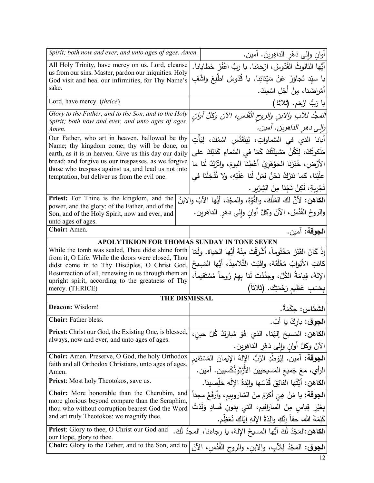| Spirit; both now and ever, and unto ages of ages. Amen.                                                     |                      | أُوانِ وَإِلَى دَهْرِ الدَاهِرِينَ. آمين.                                       |
|-------------------------------------------------------------------------------------------------------------|----------------------|---------------------------------------------------------------------------------|
| All Holy Trinity, have mercy on us. Lord, cleanse                                                           |                      | أَيُّها الثالوثُ القُدّوسُ، ارْحَمْنا. يا رَبُّ اغْفُرْ خَطايانا.               |
| us from our sins. Master, pardon our iniquities. Holy<br>God visit and heal our infirmities, for Thy Name's |                      | يا سيّد تَجاوَزْ  عَنْ سَيّئاتِنا.  يا  قُدّوسُ  اطّلِعْ واشْفِ                 |
| sake.                                                                                                       |                      | أَمْراضَنا، مِنْ أَجْلِ اسْمِكَ.                                                |
| Lord, have mercy. ( <i>thrice</i> )                                                                         |                      | يا رَبُّ ارْحَم. ( <i>ثلاثا</i> )                                               |
| Glory to the Father, and to the Son, and to the Holy                                                        |                      | المَجْد للآبِ والابنِ والروحِ الْقُدْسِ، الآنَ وكلَّ أوان                       |
| Spirit; both now and ever, and unto ages of ages.<br>Amen.                                                  |                      | والى دهر الداهرينَ. آمينَ.                                                      |
| Our Father, who art in heaven, hallowed be thy                                                              |                      | أبانا الذي في السَّماواتِ، لِيَتَقَدَّس اسْمُكَ، لِيَأْتِ                       |
| Name; thy kingdom come; thy will be done, on<br>earth, as it is in heaven. Give us this day our daily       |                      | مَلَكوتُكَ، لِتَكُنْ مَشيئَتُكَ كَمَا في السَّماءِ كَذلِكَ على                  |
| bread; and forgive us our trespasses, as we forgive                                                         |                      | الأرْض، خُبْزَنِا الْجَوْهَرِيِّ أَعْطِنَا اليومَ، واتْرُكْ لَنَا ما            |
| those who trespass against us, and lead us not into<br>temptation, but deliver us from the evil one.        |                      | علَيْنا، كما نَترُكُ نَحْنُ لِمَنْ لَنا عَلَيْهِ، ولا تُدْخِلْنَا في            |
|                                                                                                             |                      | تَجْرِبِةٍ، لَكِنْ نَجِّنَا مِنَ الشِرِّيرِ .                                   |
| Priest: For Thine is the kingdom, and the                                                                   |                      | الكاهن: لأنَّ لَكَ المُلْكَ، والقُوَّةَ، والمَجْدَ، أيُّها الآبُ والابنُ        |
| power, and the glory: of the Father, and of the<br>Son, and of the Holy Spirit, now and ever, and           |                      | والروحُ القُدُسُ، الآنَ وكلَّ أوانِ وإلى دهرِ الداهرين.                         |
| unto ages of ages.                                                                                          |                      |                                                                                 |
| Choir: Amen.                                                                                                |                      | ا <b>لجوقة:</b> آمين.                                                           |
| APOLYTIKION FOR THOMAS SUNDAY IN TONE SEVEN                                                                 |                      |                                                                                 |
| While the tomb was sealed, Thou didst shine forth                                                           |                      | إِذْ كَانَ القَبْرُ ۖ مَخْتُوماً ۚ أَشْرَقْتَ مِنْهُ أَيُّها الْحَياة. ولَمّا   |
| from it, O Life. While the doors were closed, Thou<br>didst come in to Thy Disciples, O Christ God,         |                      | كانَتِ الأَبْوابُ مُغْلَقَة، وافَيْتَ التَّلاميذَ، أَيُّها المَسِيحُ            |
| Resurrection of all, renewing in us through them an                                                         |                      | الإِلهُ، قِيامَةُ الكُلِّ، وجَدَّدْتَ لَنا بِهِمْ رُوحاً مُسْتَقيماً،           |
| upright spirit, according to the greatness of Thy<br>mercy. (THRICE)                                        |                      | بِحَسَبِ عَظيمِ رَحْمَتِكَ. (ثلاثاً)                                            |
|                                                                                                             | <b>THE DISMISSAL</b> |                                                                                 |
| Deacon: Wisdom!                                                                                             |                      | ا <b>لشمَّاس:</b> حِكْمَةٌ.                                                     |
| Choir: Father bless.                                                                                        |                      | ا <b>لجوق</b> : باركْ يا أبّ.                                                   |
| <b>Priest:</b> Christ our God, the Existing One, is blessed,                                                |                      | ا <b>لكاهن:</b> المَسيحُ إلهُنا، الذي هُوَ مُبارَكٌ كُلَّ حين،                  |
| always, now and ever, and unto ages of ages.                                                                |                      | الآنَ وكلَّ أوانِ وإلى دَهْرِ الداهِرِينِ.                                      |
| <b>Choir:</b> Amen. Preserve, O God, the holy Orthodox                                                      |                      | ا <b>لجوقة:</b> آمين. لِيُوَطِّدِ الرَّبُّ الإِلهُ الإِيمانَ المُسْتَقيم        |
| faith and all Orthodox Christians, unto ages of ages.<br>Amen.                                              |                      | الرأي، مَعَ جَميع المَسيحيينَ الأَرْثوذُكُسيين. آمين.                           |
| Priest: Most holy Theotokos, save us.                                                                       |                      | ا <b>لكاهن:</b> أَيَّتُها الفائِقُ قُدْسُها والِدَةُ الإِلَهِ خَلِّصيناً.       |
| Choir: More honorable than the Cherubim, and                                                                |                      | ا <b>لجوقة:</b> يا مَنْ هِيَ أكرَمُ مِنَ الشاروبِيمِ، وأرفَعُ مجداً             |
| more glorious beyond compare than the Seraphim,<br>thou who without corruption bearest God the Word         |                      | بِغَيْرِ قِياسٍ مِنَ السارافيم، التي بِدونِ فَسادٍ وَلَدَتْ                     |
| and art truly Theotokos: we magnify thee.                                                                   |                      | كَلِمَةَ الله، حقاً إنَّكِ والِدَةُ اﻹلهِ إيّاكِ نُعَظِّم.                      |
| <b>Priest:</b> Glory to thee, O Christ our God and<br>our Hope, glory to thee.                              |                      | ا <b>لكاهن:</b> المَجْدُ لَكَ أَيُّها المسيحُ الإِلهُ، يا رجاءَنا، المجدُ لَكَ. |
| Choir: Glory to the Father, and to the Son, and to                                                          |                      | ا <b>لجوق</b> : المَجْدُ لِلأَبِ، والابنِ، والروح القُدُسِ، الآنَ               |
|                                                                                                             |                      | 12                                                                              |